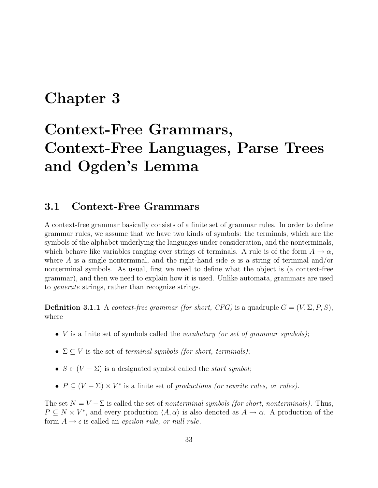## **Chapter 3**

# **Context-Free Grammars, Context-Free Languages, Parse Trees and Ogden's Lemma**

### **3.1 Context-Free Grammars**

A context-free grammar basically consists of a finite set of grammar rules. In order to define grammar rules, we assume that we have two kinds of symbols: the terminals, which are the symbols of the alphabet underlying the languages under consideration, and the nonterminals, which behave like variables ranging over strings of terminals. A rule is of the form  $A \to \alpha$ , where A is a single nonterminal, and the right-hand side  $\alpha$  is a string of terminal and/or nonterminal symbols. As usual, first we need to define what the object is (a context-free grammar), and then we need to explain how it is used. Unlike automata, grammars are used to generate strings, rather than recognize strings.

**Definition 3.1.1** A context-free grammar (for short, CFG) is a quadruple  $G = (V, \Sigma, P, S)$ , where

- $V$  is a finite set of symbols called the *vocabulary (or set of grammar symbols)*;
- $\Sigma \subset V$  is the set of terminal symbols (for short, terminals);
- $S \in (V \Sigma)$  is a designated symbol called the *start symbol*;
- $P \subseteq (V \Sigma) \times V^*$  is a finite set of productions (or rewrite rules, or rules).

The set  $N = V - \Sigma$  is called the set of nonterminal symbols (for short, nonterminals). Thus,  $P \subseteq N \times V^*$ , and every production  $\langle A, \alpha \rangle$  is also denoted as  $A \to \alpha$ . A production of the form  $A \rightarrow \epsilon$  is called an *epsilon rule, or null rule*.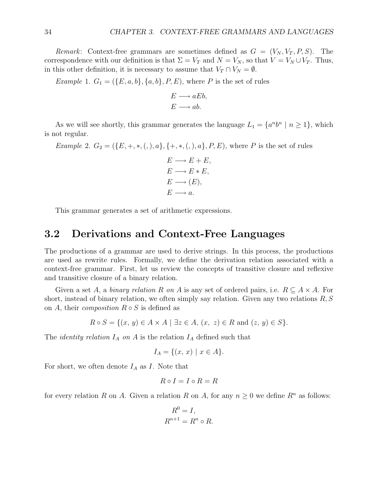Remark: Context-free grammars are sometimes defined as  $G = (V_N, V_T, P, S)$ . The correspondence with our definition is that  $\Sigma = V_T$  and  $N = V_N$ , so that  $V = V_N \cup V_T$ . Thus, in this other definition, it is necessary to assume that  $V_T \cap V_N = \emptyset$ .

Example 1.  $G_1 = (\{E, a, b\}, \{a, b\}, P, E)$ , where P is the set of rules

$$
E \longrightarrow aEb,
$$
  

$$
E \longrightarrow ab.
$$

As we will see shortly, this grammar generates the language  $L_1 = \{a^n b^n \mid n \ge 1\}$ , which is not regular.

Example 2.  $G_2 = (\{E, +, *, (),), a\}, \{+, *, (),), a\}, P, E)$ , where P is the set of rules

$$
E \longrightarrow E + E,
$$
  
\n
$$
E \longrightarrow E * E,
$$
  
\n
$$
E \longrightarrow (E),
$$
  
\n
$$
E \longrightarrow a.
$$

This grammar generates a set of arithmetic expressions.

#### **3.2 Derivations and Context-Free Languages**

The productions of a grammar are used to derive strings. In this process, the productions are used as rewrite rules. Formally, we define the derivation relation associated with a context-free grammar. First, let us review the concepts of transitive closure and reflexive and transitive closure of a binary relation.

Given a set A, a binary relation R on A is any set of ordered pairs, i.e.  $R \subseteq A \times A$ . For short, instead of binary relation, we often simply say relation. Given any two relations  $R, S$ on A, their *composition*  $R \circ S$  is defined as

$$
R \circ S = \{(x, y) \in A \times A \mid \exists z \in A, (x, z) \in R \text{ and } (z, y) \in S\}.
$$

The *identity relation*  $I_A$  on A is the relation  $I_A$  defined such that

$$
I_A = \{(x, x) \mid x \in A\}.
$$

For short, we often denote  $I_A$  as I. Note that

$$
R \circ I = I \circ R = R
$$

for every relation R on A. Given a relation R on A, for any  $n \geq 0$  we define  $R^n$  as follows:

$$
R^0 = I,
$$
  

$$
R^{n+1} = R^n \circ R.
$$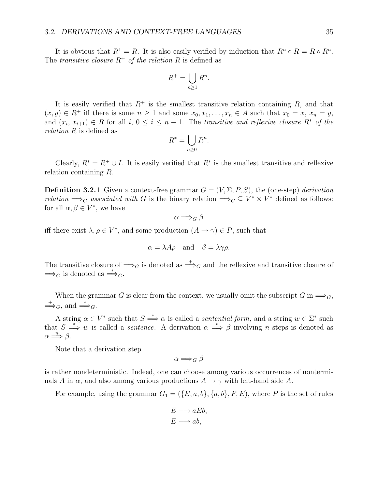It is obvious that  $R^1 = R$ . It is also easily verified by induction that  $R^n \circ R = R \circ R^n$ . The transitive closure  $R^+$  of the relation R is defined as

$$
R^+ = \bigcup_{n \ge 1} R^n.
$$

It is easily verified that  $R^+$  is the smallest transitive relation containing R, and that  $(x, y) \in R^+$  iff there is some  $n \ge 1$  and some  $x_0, x_1, \ldots, x_n \in A$  such that  $x_0 = x, x_n = y$ , and  $(x_i, x_{i+1}) \in R$  for all  $i, 0 \le i \le n-1$ . The transitive and reflexive closure  $R^*$  of the relation R is defined as

$$
R^* = \bigcup_{n \ge 0} R^n.
$$

Clearly,  $R^* = R^+ \cup I$ . It is easily verified that  $R^*$  is the smallest transitive and reflexive relation containing R.

**Definition 3.2.1** Given a context-free grammar  $G = (V, \Sigma, P, S)$ , the (one-step) derivation relation  $\Longrightarrow_G$  associated with G is the binary relation  $\Longrightarrow_G \subseteq V^* \times V^*$  defined as follows: for all  $\alpha, \beta \in V^*$ , we have

$$
\alpha \Longrightarrow_G \beta
$$

iff there exist  $\lambda, \rho \in V^*$ , and some production  $(A \to \gamma) \in P$ , such that

$$
\alpha = \lambda A \rho
$$
 and  $\beta = \lambda \gamma \rho$ .

The transitive closure of  $\Longrightarrow_G$  is denoted as  $\Longrightarrow_G$  and the reflexive and transitive closure of  $\Longrightarrow_G$  is denoted as  $\Longrightarrow_G$ .

When the grammar G is clear from the context, we usually omit the subscript G in  $\Longrightarrow_G$ ,  $\Rightarrow_G$ , and  $\Rightarrow_G$ .

A string  $\alpha \in V^*$  such that  $S \stackrel{*}{\Longrightarrow} \alpha$  is called a *sentential form*, and a string  $w \in \Sigma^*$  such that  $S \stackrel{*}{\Longrightarrow} w$  is called a *sentence*. A derivation  $\alpha \stackrel{*}{\Longrightarrow} \beta$  involving n steps is denoted as  $\alpha \Longrightarrow \beta$ .

Note that a derivation step

$$
\alpha \Longrightarrow_G \beta
$$

is rather nondeterministic. Indeed, one can choose among various occurrences of nonterminals A in  $\alpha$ , and also among various productions  $A \rightarrow \gamma$  with left-hand side A.

For example, using the grammar  $G_1 = (\{E, a, b\}, \{a, b\}, P, E)$ , where P is the set of rules

$$
E \longrightarrow aEb,
$$
  

$$
E \longrightarrow ab,
$$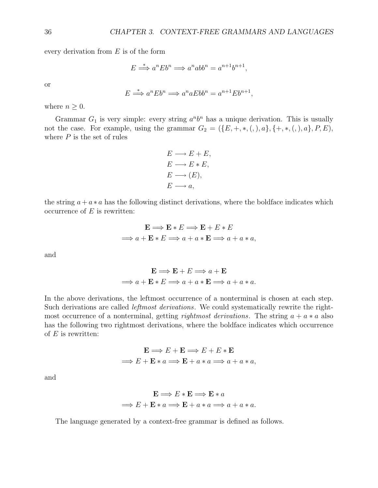every derivation from  $E$  is of the form

$$
E \stackrel{*}{\Longrightarrow} a^n E b^n \Longrightarrow a^n ab b^n = a^{n+1} b^{n+1},
$$

or

$$
E \stackrel{*}{\Longrightarrow} a^n E b^n \Longrightarrow a^n a E b b^n = a^{n+1} E b^{n+1},
$$

where  $n \geq 0$ .

Grammar  $G_1$  is very simple: every string  $a^n b^n$  has a unique derivation. This is usually not the case. For example, using the grammar  $G_2 = (\{E, +, *, (,), a\}, \{+, *, (,), a\}, P, E),$ where  $P$  is the set of rules

$$
E \longrightarrow E + E,
$$
  
\n
$$
E \longrightarrow E * E,
$$
  
\n
$$
E \longrightarrow (E),
$$
  
\n
$$
E \longrightarrow a,
$$

the string  $a + a * a$  has the following distinct derivations, where the boldface indicates which occurrence of  $E$  is rewritten:

$$
\mathbf{E} \Longrightarrow \mathbf{E} * E \Longrightarrow \mathbf{E} + E * E
$$
  

$$
\Longrightarrow a + \mathbf{E} * E \Longrightarrow a + a * \mathbf{E} \Longrightarrow a + a * a,
$$

and

$$
\mathbf{E} \Longrightarrow \mathbf{E} + E \Longrightarrow a + \mathbf{E}
$$
  

$$
\Longrightarrow a + \mathbf{E} * E \Longrightarrow a + a * \mathbf{E} \Longrightarrow a + a * a.
$$

In the above derivations, the leftmost occurrence of a nonterminal is chosen at each step. Such derivations are called *leftmost derivations*. We could systematically rewrite the rightmost occurrence of a nonterminal, getting rightmost derivations. The string  $a + a * a$  also has the following two rightmost derivations, where the boldface indicates which occurrence of  $E$  is rewritten:

$$
\mathbf{E} \Longrightarrow E + \mathbf{E} \Longrightarrow E + E * \mathbf{E}
$$
  

$$
\Longrightarrow E + \mathbf{E} * a \Longrightarrow \mathbf{E} + a * a \Longrightarrow a + a * a,
$$

and

$$
\mathbf{E} \Longrightarrow E * \mathbf{E} \Longrightarrow \mathbf{E} * a
$$
  

$$
\Longrightarrow E + \mathbf{E} * a \Longrightarrow \mathbf{E} + a * a \Longrightarrow a + a * a.
$$

The language generated by a context-free grammar is defined as follows.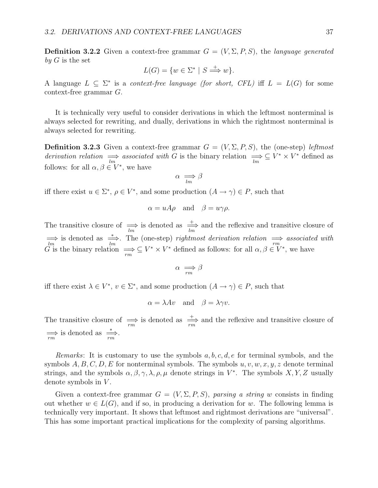**Definition 3.2.2** Given a context-free grammar  $G = (V, \Sigma, P, S)$ , the language generated by  $G$  is the set

$$
L(G) = \{ w \in \Sigma^* \mid S \stackrel{+}{\implies} w \}.
$$

A language  $L \subseteq \Sigma^*$  is a context-free language (for short, CFL) iff  $L = L(G)$  for some context-free grammar G.

It is technically very useful to consider derivations in which the leftmost nonterminal is always selected for rewriting, and dually, derivations in which the rightmost nonterminal is always selected for rewriting.

**Definition 3.2.3** Given a context-free grammar  $G = (V, \Sigma, P, S)$ , the (one-step) leftmost derivation relation  $\implies$  associated with G is the binary relation  $\implies \subseteq V^* \times V^*$  defined as follows: for all  $\alpha, \beta \in V^*$ , we have

$$
\alpha \implies \beta
$$

iff there exist  $u \in \Sigma^*, \rho \in V^*$ , and some production  $(A \to \gamma) \in P$ , such that

$$
\alpha = uA\rho
$$
 and  $\beta = u\gamma\rho$ .

The transitive closure of  $\Rightarrow$  is denoted as  $\frac{+}{lm}$  and the reflexive and transitive closure of  $\Rightarrow$  is denoted as  $\Rightarrow$ . The (one-step) rightmost derivation relation  $\Rightarrow$  associated with G is the binary relation  $\Rightarrow \subseteq V^* \times V^*$  defined as follows: for all  $\alpha, \beta \in V^*$ , we have

$$
\alpha \implies \beta
$$

iff there exist  $\lambda \in V^*$ ,  $v \in \Sigma^*$ , and some production  $(A \to \gamma) \in P$ , such that

$$
\alpha = \lambda Av
$$
 and  $\beta = \lambda \gamma v$ .

The transitive closure of  $\implies$  is denoted as  $\frac{+}{rm}$  and the reflexive and transitive closure of  $\Rightarrow$  is denoted as  $\Rightarrow$ .

Remarks: It is customary to use the symbols  $a, b, c, d, e$  for terminal symbols, and the symbols  $A, B, C, D, E$  for nonterminal symbols. The symbols  $u, v, w, x, y, z$  denote terminal strings, and the symbols  $\alpha, \beta, \gamma, \lambda, \rho, \mu$  denote strings in  $V^*$ . The symbols X, Y, Z usually denote symbols in  $V$ .

Given a context-free grammar  $G = (V, \Sigma, P, S)$ , parsing a string w consists in finding out whether  $w \in L(G)$ , and if so, in producing a derivation for w. The following lemma is technically very important. It shows that leftmost and rightmost derivations are "universal". This has some important practical implications for the complexity of parsing algorithms.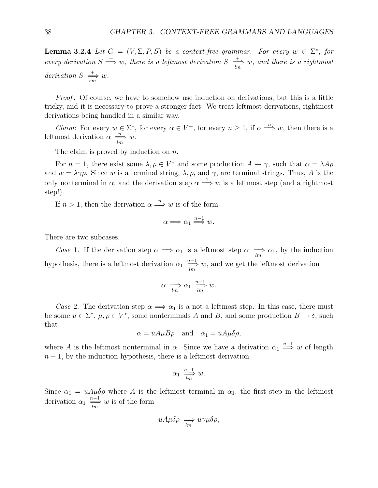**Lemma 3.2.4** Let  $G = (V, \Sigma, P, S)$  be a context-free grammar. For every  $w \in \Sigma^*$ , for every derivation  $S \stackrel{+}{\Longrightarrow} w$ , there is a leftmost derivation  $S \stackrel{+}{\Longrightarrow} w$ , and there is a rightmost derivation  $S \implies w$ .

Proof. Of course, we have to somehow use induction on derivations, but this is a little tricky, and it is necessary to prove a stronger fact. We treat leftmost derivations, rightmost derivations being handled in a similar way.

*Claim*: For every  $w \in \Sigma^*$ , for every  $\alpha \in V^+$ , for every  $n \geq 1$ , if  $\alpha \Longrightarrow w$ , then there is a leftmost derivation  $\alpha \stackrel{n}{\Longrightarrow} w$ .

The claim is proved by induction on  $n$ .

For  $n = 1$ , there exist some  $\lambda, \rho \in V^*$  and some production  $A \to \gamma$ , such that  $\alpha = \lambda A \rho$ and  $w = \lambda \gamma \rho$ . Since w is a terminal string,  $\lambda$ ,  $\rho$ , and  $\gamma$ , are terminal strings. Thus, A is the only nonterminal in  $\alpha$ , and the derivation step  $\alpha \stackrel{1}{\Longrightarrow} w$  is a leftmost step (and a rightmost step!).

If  $n > 1$ , then the derivation  $\alpha \stackrel{n}{\Longrightarrow} w$  is of the form

$$
\alpha \Longrightarrow \alpha_1 \stackrel{n-1}{\Longrightarrow} w.
$$

There are two subcases.

Case 1. If the derivation step  $\alpha \implies \alpha_1$  is a leftmost step  $\alpha \implies \alpha_1$ , by the induction hypothesis, there is a leftmost derivation  $\alpha_1 \stackrel{n-1}{\Longrightarrow} w$ , and we get the leftmost derivation

$$
\alpha \implies \alpha_1 \stackrel{n-1}{\longrightarrow} w.
$$

Case 2. The derivation step  $\alpha \Longrightarrow \alpha_1$  is a not a leftmost step. In this case, there must be some  $u \in \Sigma^*$ ,  $\mu, \rho \in V^*$ , some nonterminals A and B, and some production  $B \to \delta$ , such that

$$
\alpha = uA\mu B\rho
$$
 and  $\alpha_1 = uA\mu\delta\rho$ ,

where A is the leftmost nonterminal in  $\alpha$ . Since we have a derivation  $\alpha_1 \stackrel{n-1}{\Longrightarrow} w$  of length  $n-1$ , by the induction hypothesis, there is a leftmost derivation

$$
\alpha_1 \stackrel{n-1}{\underset{lm}{\longrightarrow}} w.
$$

Since  $\alpha_1 = uA\mu\delta\rho$  where A is the leftmost terminal in  $\alpha_1$ , the first step in the leftmost derivation  $\alpha_1 \stackrel{n-1}{\longrightarrow} w$  is of the form

$$
uA\mu\delta\rho \implies u\gamma\mu\delta\rho,
$$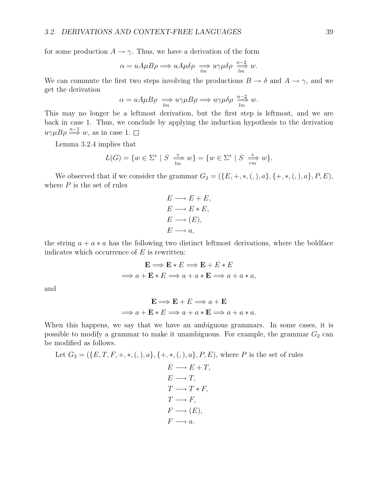for some production  $A \rightarrow \gamma$ . Thus, we have a derivation of the form

$$
\alpha = uA\mu B\rho \Longrightarrow uA\mu \delta\rho \Longrightarrow u\gamma\mu \delta\rho \Longrightarrow u\gamma\mu \delta\rho \Longrightarrow u.
$$

We can commute the first two steps involving the productions  $B \to \delta$  and  $A \to \gamma$ , and we get the derivation

$$
\alpha = uA\mu B\rho \implies u\gamma\mu B\rho \implies u\gamma\mu\delta\rho \stackrel{n-2}{\longrightarrow} w.
$$

This may no longer be a leftmost derivation, but the first step is leftmost, and we are back in case 1. Thus, we conclude by applying the induction hypothesis to the derivation  $u\gamma\mu B\rho \stackrel{n-1}{\Longrightarrow} w$ , as in case 1.  $\Box$ 

Lemma 3.2.4 implies that

$$
L(G) = \{ w \in \Sigma^* \mid S \xrightarrow[m]{+} w \} = \{ w \in \Sigma^* \mid S \xrightarrow[m]{+} w \}.
$$

We observed that if we consider the grammar  $G_2 = (\{E, +, *, (,), a\}, \{+, *, (,), a\}, P, E),$ where  $P$  is the set of rules

$$
E \longrightarrow E + E,
$$
  
\n
$$
E \longrightarrow E * E,
$$
  
\n
$$
E \longrightarrow (E),
$$
  
\n
$$
E \longrightarrow a,
$$

the string  $a + a * a$  has the following two distinct leftmost derivations, where the boldface indicates which occurrence of  $E$  is rewritten:

$$
\mathbf{E} \Longrightarrow \mathbf{E} * E \Longrightarrow \mathbf{E} + E * E
$$

$$
\Longrightarrow a + \mathbf{E} * E \Longrightarrow a + a * \mathbf{E} \Longrightarrow a + a * a,
$$

and

$$
\mathbf{E} \Longrightarrow \mathbf{E} + E \Longrightarrow a + \mathbf{E}
$$
  

$$
\Longrightarrow a + \mathbf{E} * E \Longrightarrow a + a * \mathbf{E} \Longrightarrow a + a * a.
$$

When this happens, we say that we have an ambiguous grammars. In some cases, it is possible to modify a grammar to make it unambiguous. For example, the grammar  $G_2$  can be modified as follows.

Let 
$$
G_3 = (\{E, T, F, +, *, (,), a\}, \{+, *, (,), a\}, P, E), \text{ where } P \text{ is the set of rules})
$$

$$
E \longrightarrow E + T,
$$
  
\n
$$
E \longrightarrow T,
$$
  
\n
$$
T \longrightarrow T * F,
$$
  
\n
$$
T \longrightarrow F,
$$
  
\n
$$
F \longrightarrow (E),
$$
  
\n
$$
F \longrightarrow a.
$$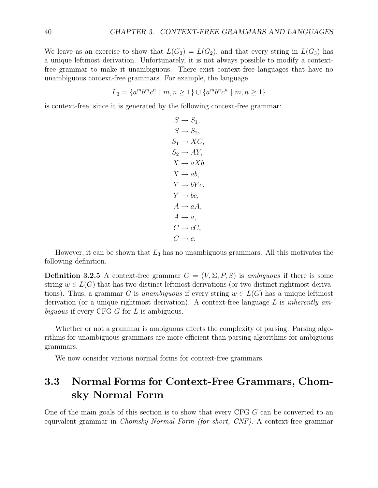We leave as an exercise to show that  $L(G_3) = L(G_2)$ , and that every string in  $L(G_3)$  has a unique leftmost derivation. Unfortunately, it is not always possible to modify a contextfree grammar to make it unambiguous. There exist context-free languages that have no unambiguous context-free grammars. For example, the language

$$
L_3 = \{a^m b^m c^n \mid m, n \ge 1\} \cup \{a^m b^n c^n \mid m, n \ge 1\}
$$

is context-free, since it is generated by the following context-free grammar:

 $S \to S_1$ ,  $S \rightarrow S_2$ ,  $S_1 \rightarrow XC$  $S_2 \rightarrow AY$ ,  $X \rightarrow a X b$ ,  $X \rightarrow ab$ .  $Y \rightarrow bYc$ ,  $Y \rightarrow bc$ ,  $A \rightarrow aA$ .  $A \rightarrow a$ ,  $C \rightarrow cC$ .  $C \rightarrow c$ .

However, it can be shown that  $L_3$  has no unambiguous grammars. All this motivates the following definition.

**Definition 3.2.5** A context-free grammar  $G = (V, \Sigma, P, S)$  is ambiguous if there is some string  $w \in L(G)$  that has two distinct leftmost derivations (or two distinct rightmost derivations). Thus, a grammar G is unambiguous if every string  $w \in L(G)$  has a unique leftmost derivation (or a unique rightmost derivation). A context-free language  $L$  is *inherently am*biguous if every CFG G for L is ambiguous.

Whether or not a grammar is ambiguous affects the complexity of parsing. Parsing algorithms for unambiguous grammars are more efficient than parsing algorithms for ambiguous grammars.

We now consider various normal forms for context-free grammars.

## **3.3 Normal Forms for Context-Free Grammars, Chomsky Normal Form**

One of the main goals of this section is to show that every CFG G can be converted to an equivalent grammar in Chomsky Normal Form (for short, CNF). A context-free grammar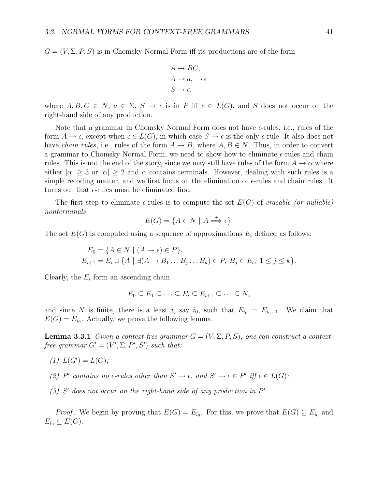$G = (V, \Sigma, P, S)$  is in Chomsky Normal Form iff its productions are of the form

$$
A \to BC,
$$
  
\n
$$
A \to a, \text{ or}
$$
  
\n
$$
S \to \epsilon,
$$

where  $A, B, C \in N$ ,  $a \in \Sigma$ ,  $S \to \epsilon$  is in P iff  $\epsilon \in L(G)$ , and S does not occur on the right-hand side of any production.

Note that a grammar in Chomsky Normal Form does not have  $\epsilon$ -rules, i.e., rules of the form  $A \to \epsilon$ , except when  $\epsilon \in L(G)$ , in which case  $S \to \epsilon$  is the only  $\epsilon$ -rule. It also does not have *chain rules*, i.e., rules of the form  $A \to B$ , where  $A, B \in N$ . Thus, in order to convert a grammar to Chomsky Normal Form, we need to show how to eliminate  $\epsilon$ -rules and chain rules. This is not the end of the story, since we may still have rules of the form  $A \to \alpha$  where either  $|\alpha| \geq 3$  or  $|\alpha| \geq 2$  and  $\alpha$  contains terminals. However, dealing with such rules is a simple recoding matter, and we first focus on the elimination of  $\epsilon$ -rules and chain rules. It turns out that  $\epsilon$ -rules must be eliminated first.

The first step to eliminate  $\epsilon$ -rules is to compute the set  $E(G)$  of erasable (or nullable) nonterminals

$$
E(G) = \{ A \in N \mid A \Longrightarrow^{\pm} \epsilon \}.
$$

The set  $E(G)$  is computed using a sequence of approximations  $E_i$  defined as follows:

$$
E_0 = \{ A \in N \mid (A \to \epsilon) \in P \},
$$
  
\n
$$
E_{i+1} = E_i \cup \{ A \mid \exists (A \to B_1 \dots B_j \dots B_k) \in P, B_j \in E_i, 1 \le j \le k \}.
$$

Clearly, the  $E_i$  form an ascending chain

$$
E_0 \subseteq E_1 \subseteq \cdots \subseteq E_i \subseteq E_{i+1} \subseteq \cdots \subseteq N,
$$

and since N is finite, there is a least i, say  $i_0$ , such that  $E_{i_0} = E_{i_0+1}$ . We claim that  $E(G) = E_{i_0}$ . Actually, we prove the following lemma.

**Lemma 3.3.1** Given a context-free grammar  $G = (V, \Sigma, P, S)$ , one can construct a contextfree grammar  $G' = (V', \Sigma, P', S')$  such that:

- (1)  $L(G') = L(G);$
- (2) P' contains no  $\epsilon$ -rules other than  $S' \to \epsilon$ , and  $S' \to \epsilon \in P'$  iff  $\epsilon \in L(G)$ ;
- $(3)$  S' does not occur on the right-hand side of any production in P'.

*Proof.* We begin by proving that  $E(G) = E_{i_0}$ . For this, we prove that  $E(G) \subseteq E_{i_0}$  and  $E_{i_0} \subseteq E(G)$ .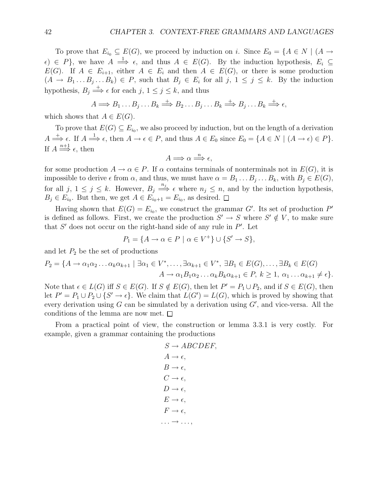To prove that  $E_{i_0} \subseteq E(G)$ , we proceed by induction on i. Since  $E_0 = \{A \in N \mid (A \rightarrow$  $\{\epsilon\} \in P\}$ , we have  $A \stackrel{1}{\Longrightarrow} \epsilon$ , and thus  $A \in E(G)$ . By the induction hypothesis,  $E_i \subseteq$  $E(G)$ . If  $A \in E_{i+1}$ , either  $A \in E_i$  and then  $A \in E(G)$ , or there is some production  $(A \to B_1 \dots B_j \dots B_k) \in P$ , such that  $B_j \in E_i$  for all  $j, 1 \le j \le k$ . By the induction hypothesis,  $B_j \stackrel{+}{\Longrightarrow} \epsilon$  for each  $j, 1 \leq j \leq k$ , and thus

$$
A \Longrightarrow B_1 \dots B_j \dots B_k \stackrel{+}{\Longrightarrow} B_2 \dots B_j \dots B_k \stackrel{+}{\Longrightarrow} B_j \dots B_k \stackrel{+}{\Longrightarrow} \epsilon,
$$

which shows that  $A \in E(G)$ .

To prove that  $E(G) \subseteq E_{i_0}$ , we also proceed by induction, but on the length of a derivation  $A \stackrel{+}{\Longrightarrow} \epsilon$ . If  $A \stackrel{1}{\Longrightarrow} \epsilon$ , then  $A \to \epsilon \in P$ , and thus  $A \in E_0$  since  $E_0 = \{A \in N \mid (A \to \epsilon) \in P\}$ . If  $A \stackrel{n+1}{\Longrightarrow} \epsilon$ , then

$$
A \Longrightarrow \alpha \stackrel{n}{\Longrightarrow} \epsilon,
$$

for some production  $A \to \alpha \in P$ . If  $\alpha$  contains terminals of nonterminals not in  $E(G)$ , it is impossible to derive  $\epsilon$  from  $\alpha$ , and thus, we must have  $\alpha = B_1 \dots B_j \dots B_k$ , with  $B_j \in E(G)$ , for all  $j, 1 \leq j \leq k$ . However,  $B_j \stackrel{n_j}{\Longrightarrow} \epsilon$  where  $n_j \leq n$ , and by the induction hypothesis,  $B_j \in E_{i_0}$ . But then, we get  $A \in E_{i_0+1} = E_{i_0}$ , as desired.  $\Box$ 

Having shown that  $E(G) = E_{i_0}$ , we construct the grammar G'. Its set of production P' is defined as follows. First, we create the production  $S' \to S$  where  $S' \notin V$ , to make sure that  $S'$  does not occur on the right-hand side of any rule in  $P'$ . Let

$$
P_1 = \{ A \to \alpha \in P \mid \alpha \in V^+ \} \cup \{ S' \to S \},
$$

and let  $P_2$  be the set of productions

$$
P_2 = \{A \to \alpha_1 \alpha_2 \dots \alpha_k \alpha_{k+1} \mid \exists \alpha_1 \in V^*, \dots, \exists \alpha_{k+1} \in V^*, \exists B_1 \in E(G), \dots, \exists B_k \in E(G) A \to \alpha_1 B_1 \alpha_2 \dots \alpha_k B_k \alpha_{k+1} \in P, k \ge 1, \alpha_1 \dots \alpha_{k+1} \ne \epsilon\}.
$$

Note that  $\epsilon \in L(G)$  iff  $S \in E(G)$ . If  $S \notin E(G)$ , then let  $P' = P_1 \cup P_2$ , and if  $S \in E(G)$ , then let  $P' = P_1 \cup P_2 \cup \{S' \to \epsilon\}$ . We claim that  $L(G') = L(G)$ , which is proved by showing that every derivation using  $G$  can be simulated by a derivation using  $G'$ , and vice-versa. All the conditions of the lemma are now met.  $\square$ 

From a practical point of view, the construction or lemma 3.3.1 is very costly. For example, given a grammar containing the productions

$$
S \rightarrow ABCDEF,
$$
  
\n
$$
A \rightarrow \epsilon,
$$
  
\n
$$
B \rightarrow \epsilon,
$$
  
\n
$$
C \rightarrow \epsilon,
$$
  
\n
$$
D \rightarrow \epsilon,
$$
  
\n
$$
E \rightarrow \epsilon,
$$
  
\n
$$
F \rightarrow \epsilon,
$$
  
\n...
$$
\rightarrow \ldots,
$$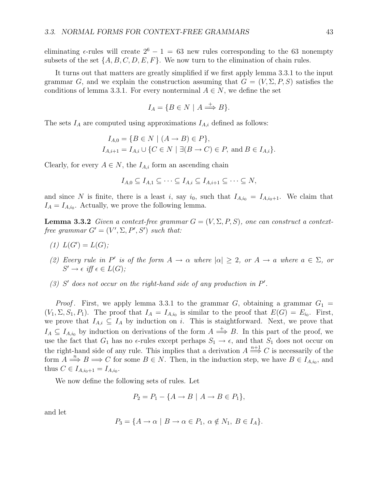eliminating  $\epsilon$ -rules will create  $2^6 - 1 = 63$  new rules corresponding to the 63 nonempty subsets of the set  $\{A, B, C, D, E, F\}$ . We now turn to the elimination of chain rules.

It turns out that matters are greatly simplified if we first apply lemma 3.3.1 to the input grammar G, and we explain the construction assuming that  $G = (V, \Sigma, P, S)$  satisfies the conditions of lemma 3.3.1. For every nonterminal  $A \in N$ , we define the set

$$
I_A = \{ B \in N \mid A \stackrel{+}{\Longrightarrow} B \}.
$$

The sets  $I_A$  are computed using approximations  $I_{A,i}$  defined as follows:

$$
I_{A,0} = \{ B \in N \mid (A \to B) \in P \},
$$
  
\n
$$
I_{A,i+1} = I_{A,i} \cup \{ C \in N \mid \exists (B \to C) \in P, \text{ and } B \in I_{A,i} \}.
$$

Clearly, for every  $A \in N$ , the  $I_{A,i}$  form an ascending chain

$$
I_{A,0} \subseteq I_{A,1} \subseteq \cdots \subseteq I_{A,i} \subseteq I_{A,i+1} \subseteq \cdots \subseteq N,
$$

and since N is finite, there is a least i, say  $i_0$ , such that  $I_{A,i_0} = I_{A,i_0+1}$ . We claim that  $I_A = I_{A,i_0}$ . Actually, we prove the following lemma.

**Lemma 3.3.2** Given a context-free grammar  $G = (V, \Sigma, P, S)$ , one can construct a contextfree grammar  $G' = (V', \Sigma, P', S')$  such that:

- (1)  $L(G') = L(G);$
- (2) Every rule in P' is of the form  $A \to \alpha$  where  $|\alpha| \geq 2$ , or  $A \to \alpha$  where  $a \in \Sigma$ , or  $S' \to \epsilon \text{ iff } \epsilon \in L(G);$
- $(3)$  S' does not occur on the right-hand side of any production in  $P'$ .

*Proof.* First, we apply lemma 3.3.1 to the grammar  $G$ , obtaining a grammar  $G_1$  =  $(V_1, \Sigma, S_1, P_1)$ . The proof that  $I_A = I_{A,i_0}$  is similar to the proof that  $E(G) = E_{i_0}$ . First, we prove that  $I_{A,i} \subseteq I_A$  by induction on i. This is staightforward. Next, we prove that  $I_A \subseteq I_{A,i_0}$  by induction on derivations of the form  $A \stackrel{+}{\Longrightarrow} B$ . In this part of the proof, we use the fact that  $G_1$  has no  $\epsilon$ -rules except perhaps  $S_1 \to \epsilon$ , and that  $S_1$  does not occur on the right-hand side of any rule. This implies that a derivation  $A \stackrel{n+1}{\Longrightarrow} C$  is necessarily of the form  $A \stackrel{n}{\Longrightarrow} B \Longrightarrow C$  for some  $B \in N$ . Then, in the induction step, we have  $B \in I_{A,i_0}$ , and thus  $C \in I_{A,i_0+1} = I_{A,i_0}$ .

We now define the following sets of rules. Let

$$
P_2 = P_1 - \{A \to B \mid A \to B \in P_1\},\
$$

and let

$$
P_3 = \{A \to \alpha \mid B \to \alpha \in P_1, \ \alpha \notin N_1, \ B \in I_A\}.
$$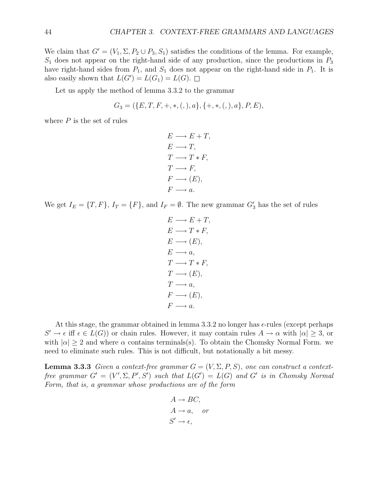We claim that  $G' = (V_1, \Sigma, P_2 \cup P_3, S_1)$  satisfies the conditions of the lemma. For example,  $S_1$  does not appear on the right-hand side of any production, since the productions in  $P_3$ have right-hand sides from  $P_1$ , and  $S_1$  does not appear on the right-hand side in  $P_1$ . It is also easily shown that  $L(G') = L(G_1) = L(G)$ .

Let us apply the method of lemma 3.3.2 to the grammar

$$
G_3 = (\{E, T, F, +, *, (,), a\}, \{+, *, (,), a\}, P, E),
$$

where  $P$  is the set of rules

$$
E \longrightarrow E + T,
$$
  
\n
$$
E \longrightarrow T,
$$
  
\n
$$
T \longrightarrow T * F,
$$
  
\n
$$
T \longrightarrow F,
$$
  
\n
$$
F \longrightarrow (E),
$$
  
\n
$$
F \longrightarrow a.
$$

We get  $I_E = \{T, F\}$ ,  $I_T = \{F\}$ , and  $I_F = \emptyset$ . The new grammar  $G'_3$  has the set of rules

$$
E \longrightarrow E + T,
$$
  
\n
$$
E \longrightarrow T * F,
$$
  
\n
$$
E \longrightarrow (E),
$$
  
\n
$$
E \longrightarrow a,
$$
  
\n
$$
T \longrightarrow T * F,
$$
  
\n
$$
T \longrightarrow (E),
$$
  
\n
$$
T \longrightarrow a,
$$
  
\n
$$
F \longrightarrow a.
$$

At this stage, the grammar obtained in lemma 3.3.2 no longer has  $\epsilon$ -rules (except perhaps  $S' \to \epsilon$  iff  $\epsilon \in L(G)$  or chain rules. However, it may contain rules  $A \to \alpha$  with  $|\alpha| \geq 3$ , or with  $|\alpha| \geq 2$  and where  $\alpha$  contains terminals(s). To obtain the Chomsky Normal Form. we need to eliminate such rules. This is not difficult, but notationally a bit messy.

**Lemma 3.3.3** Given a context-free grammar  $G = (V, \Sigma, P, S)$ , one can construct a contextfree grammar  $G' = (V', \Sigma, P', S')$  such that  $L(G') = L(G)$  and  $G'$  is in Chomsky Normal Form, that is, a grammar whose productions are of the form

$$
A \to BC,
$$
  
\n
$$
A \to a, \quad or
$$
  
\n
$$
S' \to \epsilon,
$$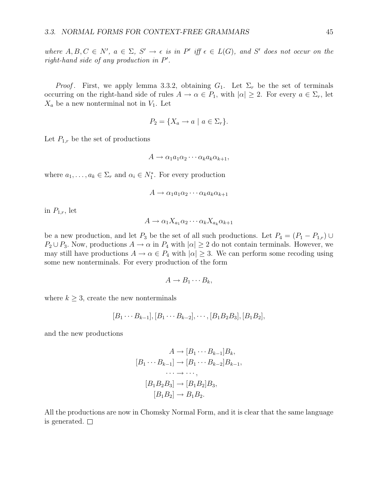where  $A, B, C \in N'$ ,  $a \in \Sigma$ ,  $S' \to \epsilon$  is in  $P'$  iff  $\epsilon \in L(G)$ , and  $S'$  does not occur on the right-hand side of any production in P .

*Proof.* First, we apply lemma 3.3.2, obtaining  $G_1$ . Let  $\Sigma_r$  be the set of terminals occurring on the right-hand side of rules  $A \to \alpha \in P_1$ , with  $|\alpha| \geq 2$ . For every  $a \in \Sigma_r$ , let  $X_a$  be a new nonterminal not in  $V_1$ . Let

$$
P_2 = \{ X_a \to a \mid a \in \Sigma_r \}.
$$

Let  $P_{1,r}$  be the set of productions

 $A \rightarrow \alpha_1 a_1 \alpha_2 \cdots \alpha_k a_k \alpha_{k+1},$ 

where  $a_1, \ldots, a_k \in \Sigma_r$  and  $\alpha_i \in N_1^*$ . For every production

$$
A \to \alpha_1 a_1 \alpha_2 \cdots \alpha_k a_k \alpha_{k+1}
$$

in  $P_{1,r}$ , let

$$
A \to \alpha_1 X_{a_1} \alpha_2 \cdots \alpha_k X_{a_k} \alpha_{k+1}
$$

be a new production, and let  $P_3$  be the set of all such productions. Let  $P_4 = (P_1 - P_{1,r}) \cup$  $P_2 \cup P_3$ . Now, productions  $A \to \alpha$  in  $P_4$  with  $|\alpha| \geq 2$  do not contain terminals. However, we may still have productions  $A \to \alpha \in P_4$  with  $|\alpha| \geq 3$ . We can perform some recoding using some new nonterminals. For every production of the form

$$
A \to B_1 \cdots B_k,
$$

where  $k \geq 3$ , create the new nonterminals

$$
[B_1 \cdots B_{k-1}], [B_1 \cdots B_{k-2}], \cdots, [B_1 B_2 B_3], [B_1 B_2],
$$

and the new productions

$$
A \rightarrow [B_1 \cdots B_{k-1}]B_k,
$$
  
\n
$$
[B_1 \cdots B_{k-1}] \rightarrow [B_1 \cdots B_{k-2}]B_{k-1},
$$
  
\n
$$
\cdots \rightarrow \cdots,
$$
  
\n
$$
[B_1B_2B_3] \rightarrow [B_1B_2]B_3,
$$
  
\n
$$
[B_1B_2] \rightarrow B_1B_2.
$$

All the productions are now in Chomsky Normal Form, and it is clear that the same language is generated.  $\square$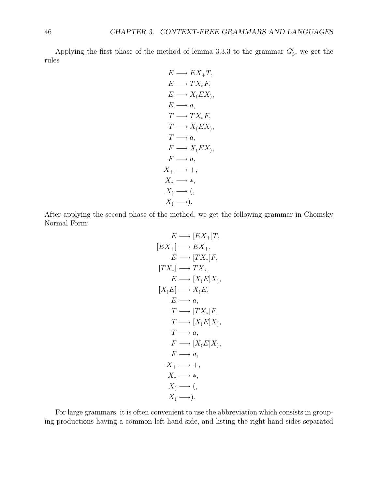Applying the first phase of the method of lemma 3.3.3 to the grammar  $G'_3$ , we get the rules

$$
E \longrightarrow EX_{+}T,
$$
  
\n
$$
E \longrightarrow TX_{*}F,
$$
  
\n
$$
E \longrightarrow X_{\langle}EX_{\rangle},
$$
  
\n
$$
E \longrightarrow a,
$$
  
\n
$$
T \longrightarrow TX_{*}F,
$$
  
\n
$$
T \longrightarrow X_{\langle}EX_{\rangle},
$$
  
\n
$$
T \longrightarrow a,
$$
  
\n
$$
F \longrightarrow X_{\langle}EX_{\rangle},
$$
  
\n
$$
F \longrightarrow a,
$$
  
\n
$$
X_{+} \longrightarrow +,
$$
  
\n
$$
X_{*} \longrightarrow +,
$$
  
\n
$$
X_{*} \longrightarrow +,
$$
  
\n
$$
X_{*} \longrightarrow +,
$$
  
\n
$$
X_{*} \longrightarrow +,
$$
  
\n
$$
X_{*} \longrightarrow +,
$$
  
\n
$$
X_{*} \longrightarrow +,
$$
  
\n
$$
X_{*} \longrightarrow +,
$$
  
\n
$$
X_{*} \longrightarrow +,
$$
  
\n
$$
X_{*} \longrightarrow +,
$$
  
\n
$$
X_{*} \longrightarrow -).
$$

After applying the second phase of the method, we get the following grammar in Chomsky Normal Form:

$$
E \longrightarrow [EX_{+}]T,
$$
  
\n
$$
[EX_{+}] \longrightarrow EX_{+},
$$
  
\n
$$
E \longrightarrow [TX_{*}]F,
$$
  
\n
$$
[TX_{*}] \longrightarrow TX_{*},
$$
  
\n
$$
E \longrightarrow [X_{}(E]X),
$$
  
\n
$$
[X_{(E)}] \longrightarrow X_{(E)},
$$
  
\n
$$
E \longrightarrow a,
$$
  
\n
$$
T \longrightarrow [X_{*}]F,
$$
  
\n
$$
T \longrightarrow a,
$$
  
\n
$$
F \longrightarrow a,
$$
  
\n
$$
X_{+} \longrightarrow +,
$$
  
\n
$$
X_{*} \longrightarrow *,
$$
  
\n
$$
X_{(} \longrightarrow ),
$$
  
\n
$$
X_{(} \longrightarrow ),
$$
  
\n
$$
X_{(} \longrightarrow ),
$$
  
\n
$$
X_{(} \longrightarrow ),
$$

For large grammars, it is often convenient to use the abbreviation which consists in grouping productions having a common left-hand side, and listing the right-hand sides separated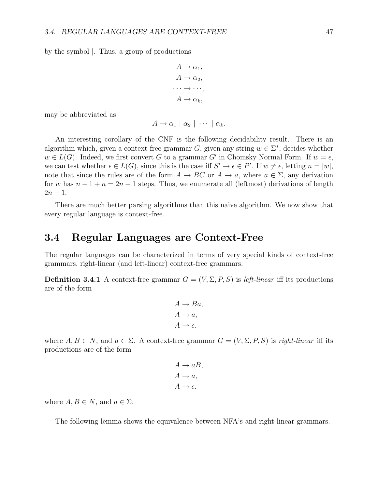by the symbol |. Thus, a group of productions

$$
A \to \alpha_1,
$$
  
\n
$$
A \to \alpha_2,
$$
  
\n... 
$$
\to \cdots,
$$
  
\n
$$
A \to \alpha_k,
$$

may be abbreviated as

$$
A \to \alpha_1 \mid \alpha_2 \mid \cdots \mid \alpha_k.
$$

An interesting corollary of the CNF is the following decidability result. There is an algorithm which, given a context-free grammar G, given any string  $w \in \Sigma^*$ , decides whether  $w \in L(G)$ . Indeed, we first convert G to a grammar G' in Chomsky Normal Form. If  $w = \epsilon$ , we can test whether  $\epsilon \in L(G)$ , since this is the case iff  $S' \to \epsilon \in P'$ . If  $w \neq \epsilon$ , letting  $n = |w|$ , note that since the rules are of the form  $A \to BC$  or  $A \to a$ , where  $a \in \Sigma$ , any derivation for w has  $n-1+n=2n-1$  steps. Thus, we enumerate all (leftmost) derivations of length  $2n - 1$ .

There are much better parsing algorithms than this naive algorithm. We now show that every regular language is context-free.

#### **3.4 Regular Languages are Context-Free**

The regular languages can be characterized in terms of very special kinds of context-free grammars, right-linear (and left-linear) context-free grammars.

**Definition 3.4.1** A context-free grammar  $G = (V, \Sigma, P, S)$  is *left-linear* iff its productions are of the form

$$
A \to Ba,
$$
  

$$
A \to a,
$$
  

$$
A \to \epsilon.
$$

where  $A, B \in N$ , and  $a \in \Sigma$ . A context-free grammar  $G = (V, \Sigma, P, S)$  is right-linear iff its productions are of the form

$$
A \to aB,
$$
  

$$
A \to a,
$$
  

$$
A \to \epsilon.
$$

where  $A, B \in N$ , and  $a \in \Sigma$ .

The following lemma shows the equivalence between NFA's and right-linear grammars.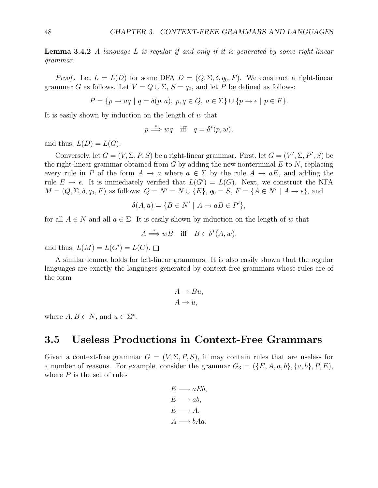**Lemma 3.4.2** A language L is regular if and only if it is generated by some right-linear grammar.

*Proof.* Let  $L = L(D)$  for some DFA  $D = (Q, \Sigma, \delta, q_0, F)$ . We construct a right-linear grammar G as follows. Let  $V = Q \cup \Sigma$ ,  $S = q_0$ , and let P be defined as follows:

$$
P = \{ p \rightarrow aq \mid q = \delta(p, a), \ p, q \in Q, \ a \in \Sigma \} \cup \{ p \rightarrow \epsilon \mid p \in F \}.
$$

It is easily shown by induction on the length of  $w$  that

$$
p \stackrel{*}{\Longrightarrow} wq
$$
 iff  $q = \delta^*(p, w)$ ,

and thus,  $L(D) = L(G)$ .

Conversely, let  $G = (V, \Sigma, P, S)$  be a right-linear grammar. First, let  $G = (V', \Sigma, P', S)$  be the right-linear grammar obtained from  $G$  by adding the new nonterminal  $E$  to  $N$ , replacing every rule in P of the form  $A \to a$  where  $a \in \Sigma$  by the rule  $A \to aE$ , and adding the rule  $E \to \epsilon$ . It is immediately verified that  $L(G') = L(G)$ . Next, we construct the NFA  $M = (Q, \Sigma, \delta, q_0, F)$  as follows:  $Q = N' = N \cup \{E\}$ ,  $q_0 = S$ ,  $F = \{A \in N' \mid A \to \epsilon\}$ , and

$$
\delta(A, a) = \{ B \in N' \mid A \to aB \in P' \},
$$

for all  $A \in N$  and all  $a \in \Sigma$ . It is easily shown by induction on the length of w that

$$
A \stackrel{*}{\Longrightarrow} wB \quad \text{iff} \quad B \in \delta^*(A, w),
$$

and thus,  $L(M) = L(G') = L(G)$ .

A similar lemma holds for left-linear grammars. It is also easily shown that the regular languages are exactly the languages generated by context-free grammars whose rules are of the form

$$
A \to Bu,
$$
  

$$
A \to u,
$$

where  $A, B \in N$ , and  $u \in \Sigma^*$ .

## **3.5 Useless Productions in Context-Free Grammars**

Given a context-free grammar  $G = (V, \Sigma, P, S)$ , it may contain rules that are useless for a number of reasons. For example, consider the grammar  $G_3 = (\{E, A, a, b\}, \{a, b\}, P, E)$ , where  $P$  is the set of rules

$$
E \longrightarrow aEb,
$$
  
\n
$$
E \longrightarrow ab,
$$
  
\n
$$
E \longrightarrow A,
$$
  
\n
$$
A \longrightarrow bAa.
$$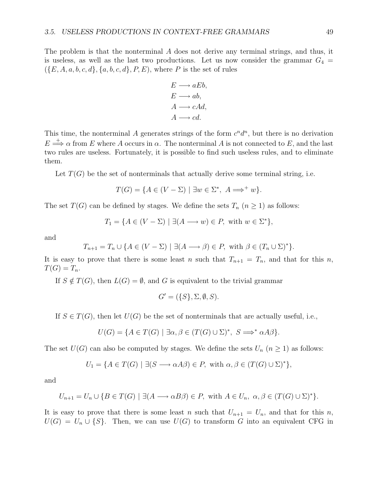The problem is that the nonterminal A does not derive any terminal strings, and thus, it is useless, as well as the last two productions. Let us now consider the grammar  $G_4$  =  $(\{E, A, a, b, c, d\}, \{a, b, c, d\}, P, E)$ , where P is the set of rules

$$
E \longrightarrow aEb,
$$
  
\n
$$
E \longrightarrow ab,
$$
  
\n
$$
A \longrightarrow cAd,
$$
  
\n
$$
A \longrightarrow cd.
$$

This time, the nonterminal A generates strings of the form  $c^n d^n$ , but there is no derivation  $E \stackrel{+}{\Longrightarrow} \alpha$  from E where A occurs in  $\alpha$ . The nonterminal A is not connected to E, and the last two rules are useless. Fortunately, it is possible to find such useless rules, and to eliminate them.

Let  $T(G)$  be the set of nonterminals that actually derive some terminal string, i.e.

$$
T(G) = \{ A \in (V - \Sigma) \mid \exists w \in \Sigma^*, \ A \Longrightarrow^+ w \}.
$$

The set  $T(G)$  can be defined by stages. We define the sets  $T_n$   $(n \geq 1)$  as follows:

$$
T_1 = \{ A \in (V - \Sigma) \mid \exists (A \longrightarrow w) \in P, \text{ with } w \in \Sigma^* \},
$$

and

$$
T_{n+1} = T_n \cup \{ A \in (V - \Sigma) \mid \exists (A \longrightarrow \beta) \in P, \text{ with } \beta \in (T_n \cup \Sigma)^* \}.
$$

It is easy to prove that there is some least n such that  $T_{n+1} = T_n$ , and that for this n,  $T(G) = T_n$ .

If  $S \notin T(G)$ , then  $L(G) = \emptyset$ , and G is equivalent to the trivial grammar

$$
G' = (\{S\}, \Sigma, \emptyset, S).
$$

If  $S \in T(G)$ , then let  $U(G)$  be the set of nonterminals that are actually useful, i.e.,

$$
U(G) = \{ A \in T(G) \mid \exists \alpha, \beta \in (T(G) \cup \Sigma)^*, \ S \Longrightarrow^* \alpha A \beta \}.
$$

The set  $U(G)$  can also be computed by stages. We define the sets  $U_n$   $(n \geq 1)$  as follows:

$$
U_1 = \{ A \in T(G) \mid \exists (S \longrightarrow \alpha A \beta) \in P, \text{ with } \alpha, \beta \in (T(G) \cup \Sigma)^* \},
$$

and

$$
U_{n+1} = U_n \cup \{ B \in T(G) \mid \exists (A \longrightarrow \alpha B \beta) \in P, \text{ with } A \in U_n, \ \alpha, \beta \in (T(G) \cup \Sigma)^* \}.
$$

It is easy to prove that there is some least n such that  $U_{n+1} = U_n$ , and that for this n,  $U(G) = U_n \cup \{S\}$ . Then, we can use  $U(G)$  to transform G into an equivalent CFG in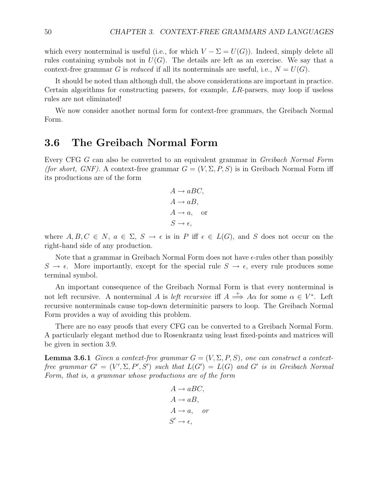which every nonterminal is useful (i.e., for which  $V - \Sigma = U(G)$ ). Indeed, simply delete all rules containing symbols not in  $U(G)$ . The details are left as an exercise. We say that a context-free grammar G is reduced if all its nonterminals are useful, i.e.,  $N = U(G)$ .

It should be noted than although dull, the above considerations are important in practice. Certain algorithms for constructing parsers, for example, LR-parsers, may loop if useless rules are not eliminated!

We now consider another normal form for context-free grammars, the Greibach Normal Form.

#### **3.6 The Greibach Normal Form**

Every CFG G can also be converted to an equivalent grammar in Greibach Normal Form (for short, GNF). A context-free grammar  $G = (V, \Sigma, P, S)$  is in Greibach Normal Form iff its productions are of the form

$$
A \to aBC,
$$
  
\n
$$
A \to aB,
$$
  
\n
$$
A \to a,
$$
 or  
\n
$$
S \to \epsilon,
$$

where  $A, B, C \in N$ ,  $a \in \Sigma$ ,  $S \to \epsilon$  is in P iff  $\epsilon \in L(G)$ , and S does not occur on the right-hand side of any production.

Note that a grammar in Greibach Normal Form does not have  $\epsilon$ -rules other than possibly  $S \to \epsilon$ . More importantly, except for the special rule  $S \to \epsilon$ , every rule produces some terminal symbol.

An important consequence of the Greibach Normal Form is that every nonterminal is not left recursive. A nonterminal A is *left recursive* iff  $A \stackrel{+}{\Longrightarrow} A\alpha$  for some  $\alpha \in V^*$ . Left recursive nonterminals cause top-down determinitic parsers to loop. The Greibach Normal Form provides a way of avoiding this problem.

There are no easy proofs that every CFG can be converted to a Greibach Normal Form. A particularly elegant method due to Rosenkrantz using least fixed-points and matrices will be given in section 3.9.

**Lemma 3.6.1** Given a context-free grammar  $G = (V, \Sigma, P, S)$ , one can construct a contextfree grammar  $G' = (V', \Sigma, P', S')$  such that  $L(G') = L(G)$  and  $G'$  is in Greibach Normal Form, that is, a grammar whose productions are of the form

$$
A \to aBC,
$$
  
\n
$$
A \to aB,
$$
  
\n
$$
A \to a, \quad or
$$
  
\n
$$
S' \to \epsilon,
$$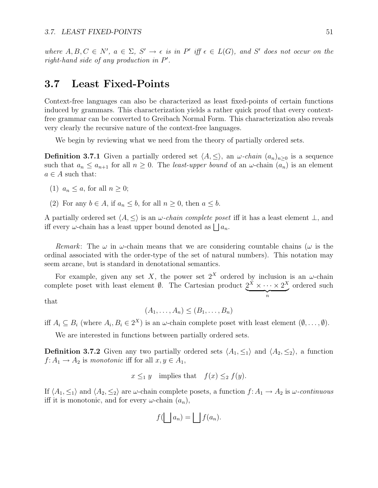where  $A, B, C \in N'$ ,  $a \in \Sigma$ ,  $S' \to \epsilon$  is in  $P'$  iff  $\epsilon \in L(G)$ , and  $S'$  does not occur on the right-hand side of any production in P .

### **3.7 Least Fixed-Points**

Context-free languages can also be characterized as least fixed-points of certain functions induced by grammars. This characterization yields a rather quick proof that every contextfree grammar can be converted to Greibach Normal Form. This characterization also reveals very clearly the recursive nature of the context-free languages.

We begin by reviewing what we need from the theory of partially ordered sets.

**Definition 3.7.1** Given a partially ordered set  $\langle A, \leq \rangle$ , an  $\omega$ -chain  $(a_n)_{n\geq 0}$  is a sequence such that  $a_n \le a_{n+1}$  for all  $n \ge 0$ . The *least-upper bound* of an  $\omega$ -chain  $(a_n)$  is an element  $a \in A$  such that:

- (1)  $a_n \leq a$ , for all  $n \geq 0$ ;
- (2) For any  $b \in A$ , if  $a_n \leq b$ , for all  $n \geq 0$ , then  $a \leq b$ .

A partially ordered set  $\langle A, \leq \rangle$  is an  $\omega$ -chain complete poset iff it has a least element  $\perp$ , and iff every  $\omega$ -chain has a least upper bound denoted as  $\bigsqcup a_n$ .

Remark: The  $\omega$  in  $\omega$ -chain means that we are considering countable chains ( $\omega$  is the ordinal associated with the order-type of the set of natural numbers). This notation may seem arcane, but is standard in denotational semantics.

For example, given any set X, the power set  $2^X$  ordered by inclusion is an  $\omega$ -chain complete poset with least element  $\emptyset$ . The Cartesian product  $2^{\tilde{X}} \times \cdots \times 2^X$  $\overbrace{\hspace{2.5cm}}^{n}$ ordered such

that

$$
(A_1,\ldots,A_n)\leq (B_1,\ldots,B_n)
$$

iff  $A_i \subseteq B_i$  (where  $A_i, B_i \in 2^X$ ) is an  $\omega$ -chain complete poset with least element  $(\emptyset, \ldots, \emptyset)$ .

We are interested in functions between partially ordered sets.

**Definition 3.7.2** Given any two partially ordered sets  $\langle A_1, \leq_1 \rangle$  and  $\langle A_2, \leq_2 \rangle$ , a function  $f: A_1 \to A_2$  is monotonic iff for all  $x, y \in A_1$ ,

$$
x \leq_1 y
$$
 implies that  $f(x) \leq_2 f(y)$ .

If  $\langle A_1, \leq_1 \rangle$  and  $\langle A_2, \leq_2 \rangle$  are  $\omega$ -chain complete posets, a function  $f: A_1 \to A_2$  is  $\omega$ -continuous iff it is monotonic, and for every  $\omega$ -chain  $(a_n)$ ,

$$
f(\bigsqcup a_n) = \bigsqcup f(a_n).
$$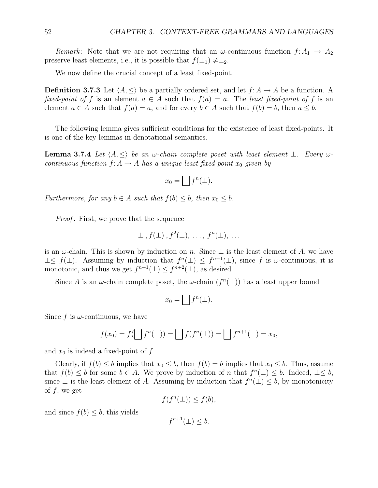Remark: Note that we are not requiring that an  $\omega$ -continuous function  $f: A_1 \to A_2$ preserve least elements, i.e., it is possible that  $f(\perp_1) \neq \perp_2$ .

We now define the crucial concept of a least fixed-point.

**Definition 3.7.3** Let  $\langle A, \leq \rangle$  be a partially ordered set, and let  $f: A \to A$  be a function. A fixed-point of f is an element  $a \in A$  such that  $f(a) = a$ . The least fixed-point of f is an element  $a \in A$  such that  $f(a) = a$ , and for every  $b \in A$  such that  $f(b) = b$ , then  $a \leq b$ .

The following lemma gives sufficient conditions for the existence of least fixed-points. It is one of the key lemmas in denotational semantics.

**Lemma 3.7.4** Let  $\langle A, \leq \rangle$  be an  $\omega$ -chain complete poset with least element  $\perp$ . Every  $\omega$ continuous function  $f: A \to A$  has a unique least fixed-point  $x_0$  given by

$$
x_0 = \bigsqcup f^n(\bot).
$$

Furthermore, for any  $b \in A$  such that  $f(b) \leq b$ , then  $x_0 \leq b$ .

*Proof*. First, we prove that the sequence

$$
\perp
$$
,  $f(\perp)$ ,  $f^2(\perp)$ , ...,  $f^n(\perp)$ , ...

is an  $\omega$ -chain. This is shown by induction on n. Since  $\perp$  is the least element of A, we have  $\perp \leq f(\perp)$ . Assuming by induction that  $f^{n}(\perp) \leq f^{n+1}(\perp)$ , since f is  $\omega$ -continuous, it is monotonic, and thus we get  $f^{n+1}(\perp) \leq f^{n+2}(\perp)$ , as desired.

Since A is an  $\omega$ -chain complete poset, the  $\omega$ -chain  $(f^{n}(\perp))$  has a least upper bound

$$
x_0 = \bigsqcup f^n(\bot).
$$

Since f is  $\omega$ -continuous, we have

$$
f(x_0) = f(\bigsqcup f^n(\bot)) = \bigsqcup f(f^n(\bot)) = \bigsqcup f^{n+1}(\bot) = x_0,
$$

and  $x_0$  is indeed a fixed-point of f.

Clearly, if  $f(b) \leq b$  implies that  $x_0 \leq b$ , then  $f(b) = b$  implies that  $x_0 \leq b$ . Thus, assume that  $f(b) \leq b$  for some  $b \in A$ . We prove by induction of n that  $f^{n}(\perp) \leq b$ . Indeed,  $\perp \leq b$ , since  $\bot$  is the least element of A. Assuming by induction that  $f^{n}(\bot) \leq b$ , by monotonicity of  $f$ , we get

$$
f(f^n(\bot)) \le f(b),
$$

and since  $f(b) \leq b$ , this yields

 $f^{n+1}(\perp) \leq b.$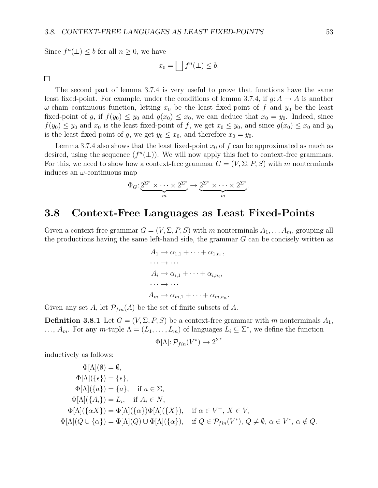Since  $f^{n}(\perp) \leq b$  for all  $n \geq 0$ , we have

$$
x_0 = \bigsqcup f^n(\bot) \le b.
$$

 $\Box$ 

The second part of lemma 3.7.4 is very useful to prove that functions have the same least fixed-point. For example, under the conditions of lemma 3.7.4, if  $g: A \to A$  is another  $ω$ -chain continuous function, letting  $x_0$  be the least fixed-point of f and  $y_0$  be the least fixed-point of g, if  $f(y_0) \leq y_0$  and  $g(x_0) \leq x_0$ , we can deduce that  $x_0 = y_0$ . Indeed, since  $f(y_0) \le y_0$  and  $x_0$  is the least fixed-point of f, we get  $x_0 \le y_0$ , and since  $g(x_0) \le x_0$  and  $y_0$ is the least fixed-point of g, we get  $y_0 \le x_0$ , and therefore  $x_0 = y_0$ .

Lemma 3.7.4 also shows that the least fixed-point  $x_0$  of f can be approximated as much as desired, using the sequence  $(f^{n}(\perp))$ . We will now apply this fact to context-free grammars. For this, we need to show how a context-free grammar  $G = (V, \Sigma, P, S)$  with m nonterminals induces an  $\omega$ -continuous map

$$
\Phi_G: \underbrace{2^{\Sigma^*} \times \cdots \times 2^{\Sigma^*}}_{m} \to \underbrace{2^{\Sigma^*} \times \cdots \times 2^{\Sigma^*}}_{m}.
$$

#### **3.8 Context-Free Languages as Least Fixed-Points**

Given a context-free grammar  $G = (V, \Sigma, P, S)$  with m nonterminals  $A_1, \ldots, A_m$ , grouping all the productions having the same left-hand side, the grammar G can be concisely written as

$$
A_1 \to \alpha_{1,1} + \cdots + \alpha_{1,n_1},
$$
  
\n...  $\to \cdots$   
\n
$$
A_i \to \alpha_{i,1} + \cdots + \alpha_{i,n_i},
$$
  
\n...  $\to \cdots$   
\n
$$
A_m \to \alpha_{m,1} + \cdots + \alpha_{m,n_n}.
$$

Given any set A, let  $\mathcal{P}_{fin}(A)$  be the set of finite subsets of A.

**Definition 3.8.1** Let  $G = (V, \Sigma, P, S)$  be a context-free grammar with m nonterminals  $A_1$ , ...,  $A_m$ . For any m-tuple  $\Lambda = (L_1, \ldots, L_m)$  of languages  $L_i \subseteq \Sigma^*$ , we define the function

$$
\Phi[\Lambda]: \mathcal{P}_{fin}(V^*) \to 2^{\Sigma^*}
$$

inductively as follows:

$$
\Phi[\Lambda](\emptyset) = \emptyset,
$$
  
\n
$$
\Phi[\Lambda](\{\epsilon\}) = \{\epsilon\},
$$
  
\n
$$
\Phi[\Lambda](\{a\}) = \{a\}, \text{ if } a \in \Sigma,
$$
  
\n
$$
\Phi[\Lambda](\{A_i\}) = L_i, \text{ if } A_i \in N,
$$
  
\n
$$
\Phi[\Lambda](\{\alpha X\}) = \Phi[\Lambda](\{\alpha\})\Phi[\Lambda](\{X\}), \text{ if } \alpha \in V^+, X \in V,
$$
  
\n
$$
\Phi[\Lambda](Q \cup \{\alpha\}) = \Phi[\Lambda](Q) \cup \Phi[\Lambda](\{\alpha\}), \text{ if } Q \in \mathcal{P}_{fin}(V^*), Q \neq \emptyset, \alpha \in V^*, \alpha \notin Q.
$$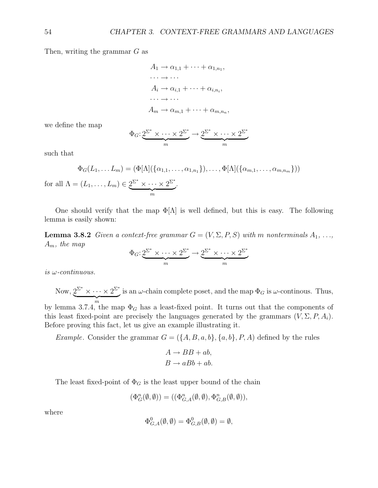Then, writing the grammar G as

$$
A_1 \to \alpha_{1,1} + \cdots + \alpha_{1,n_1},
$$
  
\n
$$
\cdots \to \cdots
$$
  
\n
$$
A_i \to \alpha_{i,1} + \cdots + \alpha_{i,n_i},
$$
  
\n
$$
\cdots \to \cdots
$$
  
\n
$$
A_m \to \alpha_{m,1} + \cdots + \alpha_{m,n_n},
$$

we define the map

$$
\Phi_G: \underbrace{2^{\Sigma^*} \times \cdots \times 2^{\Sigma^*}}_{m} \to \underbrace{2^{\Sigma^*} \times \cdots \times 2^{\Sigma^*}}_{m}
$$

such that

for all

$$
\Phi_G(L_1, \dots L_m) = (\Phi[\Lambda](\{\alpha_{1,1}, \dots, \alpha_{1,n_1}\}), \dots, \Phi[\Lambda](\{\alpha_{m,1}, \dots, \alpha_{m,n_m}\}))
$$
  

$$
\Lambda = (L_1, \dots, L_m) \in \underbrace{2^{\Sigma^*} \times \dots \times 2^{\Sigma^*}}_m.
$$

One should verify that the map  $\Phi[\Lambda]$  is well defined, but this is easy. The following lemma is easily shown:

**Lemma 3.8.2** Given a context-free grammar  $G = (V, \Sigma, P, S)$  with m nonterminals  $A_1, \ldots,$  $A_m$ , the map

$$
\Phi_G: 2^{\Sigma^*} \times \cdots \times 2^{\Sigma^*} \to 2^{\Sigma^*} \times \cdots \times 2^{\Sigma^*}
$$

is  $\omega$ -continuous.

Now,  $2^{\Sigma^*} \times \cdots \times 2^{\Sigma^*}$  $\overbrace{m}$ is an  $\omega$ -chain complete poset, and the map  $\Phi_G$  is  $\omega$ -continous. Thus, by lemma 3.7.4, the map  $\Phi_G$  has a least-fixed point. It turns out that the components of this least fixed-point are precisely the languages generated by the grammars  $(V, \Sigma, P, A_i)$ . Before proving this fact, let us give an example illustrating it.

Example. Consider the grammar  $G = (\{A, B, a, b\}, \{a, b\}, P, A)$  defined by the rules

$$
A \to BB + ab,
$$
  

$$
B \to aBb + ab.
$$

The least fixed-point of  $\Phi_G$  is the least upper bound of the chain

$$
(\Phi_G^n(\emptyset, \emptyset)) = ((\Phi_{G,A}^n(\emptyset, \emptyset), \Phi_{G,B}^n(\emptyset, \emptyset)),
$$

where

$$
\Phi_{G,A}^0(\emptyset,\emptyset) = \Phi_{G,B}^0(\emptyset,\emptyset) = \emptyset,
$$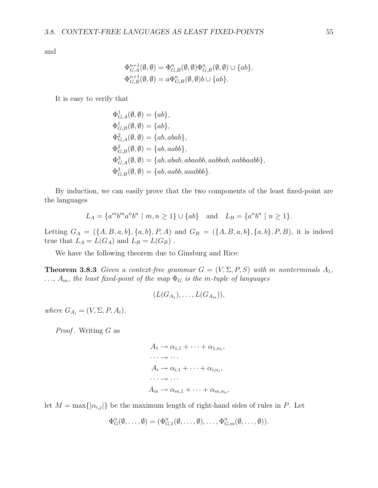and

$$
\Phi_{G,B}^{n+1}(\emptyset, \emptyset) = \Phi_{G,B}^{n}(\emptyset, \emptyset) \Phi_{G,B}^{n}(\emptyset, \emptyset) \cup \{ab\},
$$
  

$$
\Phi_{G,B}^{n+1}(\emptyset, \emptyset) = a\Phi_{G,B}^{n}(\emptyset, \emptyset) b \cup \{ab\}.
$$

It is easy to verify that

$$
\Phi_{G,A}^1(\emptyset, \emptyset) = \{ab\},
$$
  
\n
$$
\Phi_{G,B}^1(\emptyset, \emptyset) = \{ab\},
$$
  
\n
$$
\Phi_{G,A}^2(\emptyset, \emptyset) = \{ab, abab\},
$$
  
\n
$$
\Phi_{G,B}^2(\emptyset, \emptyset) = \{ab, aabb\},
$$
  
\n
$$
\Phi_{G,A}^3(\emptyset, \emptyset) = \{ab, abab, abaabab, aabbaabab\},
$$
  
\n
$$
\Phi_{G,B}^3(\emptyset, \emptyset) = \{ab, aabb, aaabbb\}.
$$

By induction, we can easily prove that the two components of the least fixed-point are the languages

$$
L_A = \{a^m b^m a^n b^n \mid m, n \ge 1\} \cup \{ab\} \text{ and } L_B = \{a^n b^n \mid n \ge 1\}.
$$

Letting  $G_A = (\{A, B, a, b\}, \{a, b\}, P, A)$  and  $G_B = (\{A, B, a, b\}, \{a, b\}, P, B)$ , it is indeed true that  $L_A = L(G_A)$  and  $L_B = L(G_B)$ .

We have the following theorem due to Ginsburg and Rice:

**Theorem 3.8.3** Given a context-free grammar  $G = (V, \Sigma, P, S)$  with m nonterminals  $A_1$ , ...,  $A_m$ , the least fixed-point of the map  $\Phi_G$  is the m-tuple of languages

$$
(L(G_{A_1}),\ldots,L(G_{A_m})),
$$

where  $G_{A_i} = (V, \Sigma, P, A_i)$ .

*Proof.* Writing  $G$  as

 $A_1 \rightarrow \alpha_{1,1} + \cdots + \alpha_{1,n_1},$  $\cdots \rightarrow \cdots$  $A_i \rightarrow \alpha_{i,1} + \cdots + \alpha_{i,n_i},$  $\cdots \rightarrow \cdots$  $A_m \rightarrow \alpha_{m,1} + \cdots + \alpha_{m,n}$ 

let  $M = \max\{|\alpha_{i,j}|\}$  be the maximum length of right-hand sides of rules in P. Let

$$
\Phi_G^n(\emptyset,\ldots,\emptyset)=(\Phi_{G,1}^n(\emptyset,\ldots,\emptyset),\ldots,\Phi_{G,m}^n(\emptyset,\ldots,\emptyset)).
$$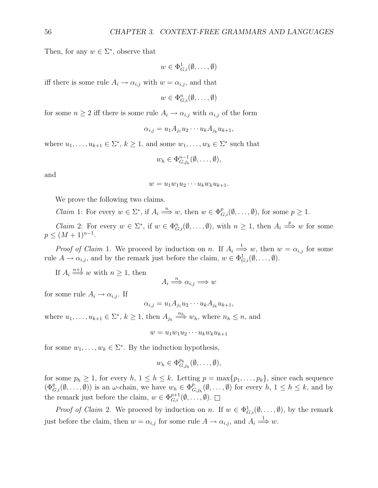Then, for any  $w \in \Sigma^*$ , observe that

$$
w \in \Phi_{G,i}^1(\emptyset, \ldots, \emptyset)
$$

iff there is some rule  $A_i \to \alpha_{i,j}$  with  $w = \alpha_{i,j}$ , and that

 $w \in \Phi_{G,i}^n(\emptyset, \ldots, \emptyset)$ 

for some  $n \geq 2$  iff there is some rule  $A_i \to \alpha_{i,j}$  with  $\alpha_{i,j}$  of the form

$$
\alpha_{i,j} = u_1 A_{j_1} u_2 \cdots u_k A_{j_k} u_{k+1},
$$

where  $u_1, \ldots, u_{k+1} \in \Sigma^*, k \geq 1$ , and some  $w_1, \ldots, w_k \in \Sigma^*$  such that

$$
w_h \in \Phi_{G,j_h}^{n-1}(\emptyset,\ldots,\emptyset),
$$

and

$$
w = u_1 w_1 u_2 \cdots u_k w_k u_{k+1}.
$$

We prove the following two claims.

*Claim* 1: For every  $w \in \Sigma^*$ , if  $A_i \stackrel{n}{\Longrightarrow} w$ , then  $w \in \Phi_{G,i}^p(\emptyset, \ldots, \emptyset)$ , for some  $p \geq 1$ .

*Claim* 2: For every  $w \in \Sigma^*$ , if  $w \in \Phi_{G,i}^n(\emptyset, \ldots, \emptyset)$ , with  $n \geq 1$ , then  $A_i \stackrel{p}{\Longrightarrow} w$  for some  $p \leq (M+1)^{n-1}.$ 

*Proof of Claim* 1. We proceed by induction on n. If  $A_i \stackrel{1}{\Longrightarrow} w$ , then  $w = \alpha_{i,j}$  for some rule  $A \to \alpha_{i,j}$ , and by the remark just before the claim,  $w \in \Phi_{G,i}^1(\emptyset, \ldots, \emptyset)$ .

If  $A_i \stackrel{n+1}{\Longrightarrow} w$  with  $n \geq 1$ , then

$$
A_i \stackrel{n}{\Longrightarrow} \alpha_{i,j} \Longrightarrow w
$$

for some rule  $A_i \rightarrow \alpha_{i,j}$ . If

$$
\alpha_{i,j} = u_1 A_{j_1} u_2 \cdots u_k A_{j_k} u_{k+1},
$$

where  $u_1, \ldots, u_{k+1} \in \Sigma^*$ ,  $k \geq 1$ , then  $A_{j_h} \stackrel{n_h}{\Longrightarrow} w_h$ , where  $n_h \leq n$ , and

 $w = u_1w_1u_2\cdots u_kw_ku_{k+1}$ 

for some  $w_1, \ldots, w_k \in \Sigma^*$ . By the induction hypothesis,

$$
w_h \in \Phi_{G,j_h}^{p_h}(\emptyset,\ldots,\emptyset),
$$

for some  $p_h \geq 1$ , for every  $h, 1 \leq h \leq k$ . Letting  $p = \max\{p_1, \ldots, p_k\}$ , since each sequence  $(\Phi_{G,i}^q(\emptyset,\ldots,\emptyset))$  is an  $\omega$ -chain, we have  $w_h \in \Phi_{G,j_h}^p(\emptyset,\ldots,\emptyset)$  for every  $h, 1 \leq h \leq k$ , and by the remark just before the claim,  $w \in \Phi_{G,i}^{p+1}(\emptyset, \ldots, \emptyset)$ .

*Proof of Claim* 2. We proceed by induction on n. If  $w \in \Phi_{G,i}^1(\emptyset,\ldots,\emptyset)$ , by the remark just before the claim, then  $w = \alpha_{i,j}$  for some rule  $A \to \alpha_{i,j}$ , and  $A_i \stackrel{1}{\Longrightarrow} w$ .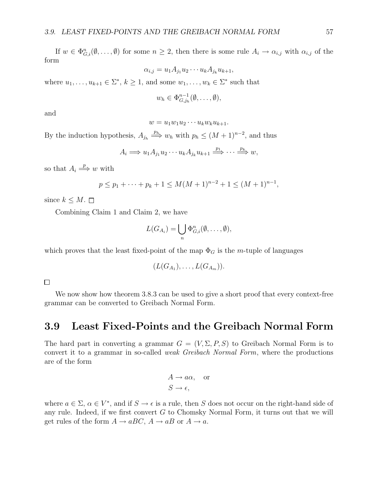If  $w \in \Phi_{G,i}^n(\emptyset,\ldots,\emptyset)$  for some  $n \geq 2$ , then there is some rule  $A_i \to \alpha_{i,j}$  with  $\alpha_{i,j}$  of the form

$$
\alpha_{i,j} = u_1 A_{j_1} u_2 \cdots u_k A_{j_k} u_{k+1},
$$

where  $u_1, \ldots, u_{k+1} \in \Sigma^*, k \geq 1$ , and some  $w_1, \ldots, w_k \in \Sigma^*$  such that

$$
w_h \in \Phi_{G,j_h}^{n-1}(\emptyset, \ldots, \emptyset),
$$

and

$$
w = u_1 w_1 u_2 \cdots u_k w_k u_{k+1}.
$$

By the induction hypothesis,  $A_{j_h} \stackrel{p_h}{\Longrightarrow} w_h$  with  $p_h \leq (M+1)^{n-2}$ , and thus

$$
A_i \Longrightarrow u_1 A_{j_1} u_2 \cdots u_k A_{j_k} u_{k+1} \stackrel{p_1}{\Longrightarrow} \cdots \stackrel{p_k}{\Longrightarrow} w,
$$

so that  $A_i \stackrel{p}{\Longrightarrow} w$  with

$$
p \le p_1 + \dots + p_k + 1 \le M(M+1)^{n-2} + 1 \le (M+1)^{n-1},
$$

since  $k \leq M$ .  $\Box$ 

Combining Claim 1 and Claim 2, we have

$$
L(G_{A_i}) = \bigcup_n \Phi_{G,i}^n(\emptyset, \ldots, \emptyset),
$$

which proves that the least fixed-point of the map  $\Phi_G$  is the m-tuple of languages

$$
(L(G_{A_1}),\ldots,L(G_{A_m})).
$$

 $\Box$ 

We now show how theorem 3.8.3 can be used to give a short proof that every context-free grammar can be converted to Greibach Normal Form.

#### **3.9 Least Fixed-Points and the Greibach Normal Form**

The hard part in converting a grammar  $G = (V, \Sigma, P, S)$  to Greibach Normal Form is to convert it to a grammar in so-called weak Greibach Normal Form, where the productions are of the form

$$
A \to a\alpha, \quad \text{or} \quad\nS \to \epsilon,
$$

where  $a \in \Sigma$ ,  $\alpha \in V^*$ , and if  $S \to \epsilon$  is a rule, then S does not occur on the right-hand side of any rule. Indeed, if we first convert G to Chomsky Normal Form, it turns out that we will get rules of the form  $A \to aBC$ ,  $A \to aB$  or  $A \to a$ .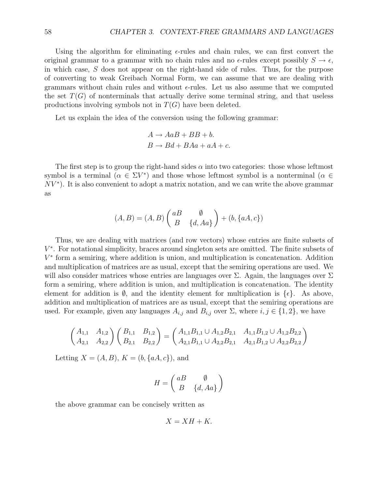Using the algorithm for eliminating  $\epsilon$ -rules and chain rules, we can first convert the original grammar to a grammar with no chain rules and no  $\epsilon$ -rules except possibly  $S \to \epsilon$ , in which case, S does not appear on the right-hand side of rules. Thus, for the purpose of converting to weak Greibach Normal Form, we can assume that we are dealing with grammars without chain rules and without  $\epsilon$ -rules. Let us also assume that we computed the set  $T(G)$  of nonterminals that actually derive some terminal string, and that useless productions involving symbols not in  $T(G)$  have been deleted.

Let us explain the idea of the conversion using the following grammar:

$$
A \rightarrow AaB + BB + b.
$$
  

$$
B \rightarrow Bd + BAa + aA + c.
$$

The first step is to group the right-hand sides  $\alpha$  into two categories: those whose leftmost symbol is a terminal  $(\alpha \in \Sigma V^*)$  and those whose leftmost symbol is a nonterminal  $(\alpha \in$  $NV^*$ ). It is also convenient to adopt a matrix notation, and we can write the above grammar as

$$
(A, B) = (A, B) \begin{pmatrix} aB & \emptyset \\ B & \{d, Aa\} \end{pmatrix} + (b, \{aA, c\})
$$

Thus, we are dealing with matrices (and row vectors) whose entries are finite subsets of  $V^*$ . For notational simplicity, braces around singleton sets are omitted. The finite subsets of  $V^*$  form a semiring, where addition is union, and multiplication is concatenation. Addition and multiplication of matrices are as usual, except that the semiring operations are used. We will also consider matrices whose entries are languages over  $\Sigma$ . Again, the languages over  $\Sigma$ form a semiring, where addition is union, and multiplication is concatenation. The identity element for addition is  $\emptyset$ , and the identity element for multiplication is  $\{\epsilon\}$ . As above, addition and multiplication of matrices are as usual, except that the semiring operations are used. For example, given any languages  $A_{i,j}$  and  $B_{i,j}$  over  $\Sigma$ , where  $i, j \in \{1, 2\}$ , we have

$$
\begin{pmatrix} A_{1,1} & A_{1,2} \ A_{2,1} & A_{2,2} \end{pmatrix} \begin{pmatrix} B_{1,1} & B_{1,2} \ B_{2,1} & B_{2,2} \end{pmatrix} = \begin{pmatrix} A_{1,1}B_{1,1} \cup A_{1,2}B_{2,1} & A_{1,1}B_{1,2} \cup A_{1,2}B_{2,2} \ A_{2,1}B_{1,1} \cup A_{2,2}B_{2,1} & A_{2,1}B_{1,2} \cup A_{2,2}B_{2,2} \end{pmatrix}
$$

Letting  $X = (A, B), K = (b, \{aA, c\})$ , and

$$
H = \begin{pmatrix} aB & \emptyset \\ B & \{d, Aa\} \end{pmatrix}
$$

the above grammar can be concisely written as

$$
X = XH + K.
$$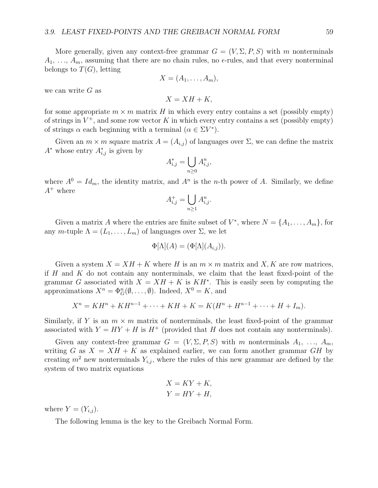More generally, given any context-free grammar  $G = (V, \Sigma, P, S)$  with m nonterminals  $A_1, \ldots, A_m$ , assuming that there are no chain rules, no  $\epsilon$ -rules, and that every nonterminal belongs to  $T(G)$ , letting

$$
X=(A_1,\ldots,A_m),
$$

we can write  $G$  as

 $X = XH + K$ 

for some appropriate  $m \times m$  matrix H in which every entry contains a set (possibly empty) of strings in  $V^+$ , and some row vector K in which every entry contains a set (possibly empty) of strings  $\alpha$  each beginning with a terminal  $(\alpha \in \Sigma V^*)$ .

Given an  $m \times m$  square matrix  $A = (A_{i,j})$  of languages over  $\Sigma$ , we can define the matrix  $A^*$  whose entry  $A^*_{i,j}$  is given by

$$
A_{i,j}^* = \bigcup_{n \ge 0} A_{i,j}^n,
$$

where  $A^0 = Id_m$ , the identity matrix, and  $A^n$  is the *n*-th power of A. Similarly, we define  $A^+$  where

$$
A_{i,j}^+ = \bigcup_{n \ge 1} A_{i,j}^n.
$$

Given a matrix A where the entries are finite subset of  $V^*$ , where  $N = \{A_1, \ldots, A_m\}$ , for any m-tuple  $\Lambda = (L_1, \ldots, L_m)$  of languages over  $\Sigma$ , we let

$$
\Phi[\Lambda](A) = (\Phi[\Lambda](A_{i,j})).
$$

Given a system  $X = XH + K$  where H is an  $m \times m$  matrix and X, K are row matrices, if  $H$  and  $K$  do not contain any nonterminals, we claim that the least fixed-point of the grammar G associated with  $X = XH + K$  is  $KH^*$ . This is easily seen by computing the approximations  $X^n = \Phi_G^n(\emptyset, \ldots, \emptyset)$ . Indeed,  $X^0 = K$ , and

$$
X^{n} = KH^{n} + KH^{n-1} + \cdots + KH + K = K(H^{n} + H^{n-1} + \cdots + H + I_{m}).
$$

Similarly, if Y is an  $m \times m$  matrix of nonterminals, the least fixed-point of the grammar associated with  $Y = HY + H$  is  $H^+$  (provided that H does not contain any nonterminals).

Given any context-free grammar  $G = (V, \Sigma, P, S)$  with m nonterminals  $A_1, \ldots, A_m$ , writing G as  $X = XH + K$  as explained earlier, we can form another grammar GH by creating  $m^2$  new nonterminals  $Y_{i,j}$ , where the rules of this new grammar are defined by the system of two matrix equations

$$
X = KY + K,
$$
  

$$
Y = HY + H,
$$

where  $Y = (Y_{i,j})$ .

The following lemma is the key to the Greibach Normal Form.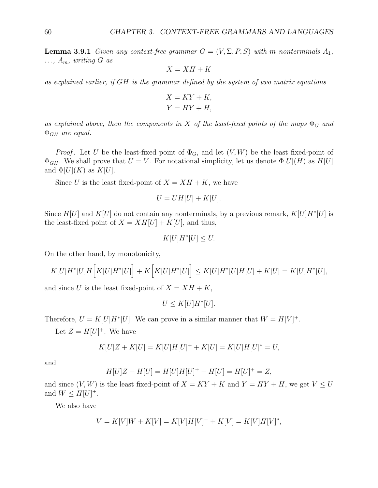**Lemma 3.9.1** Given any context-free grammar  $G = (V, \Sigma, P, S)$  with m nonterminals  $A_1$ ,  $..., A_m$ , writing G as

$$
X = XH + K
$$

as explained earlier, if GH is the grammar defined by the system of two matrix equations

$$
X = KY + K,
$$
  

$$
Y = HY + H,
$$

as explained above, then the components in X of the least-fixed points of the maps  $\Phi_G$  and  $\Phi$ <sub>GH</sub> are equal.

*Proof.* Let U be the least-fixed point of  $\Phi_G$ , and let  $(V, W)$  be the least fixed-point of  $\Phi_{GH}$ . We shall prove that  $U = V$ . For notational simplicity, let us denote  $\Phi[U](H)$  as  $H[U]$ and  $\Phi[U](K)$  as  $K[U]$ .

Since U is the least fixed-point of  $X = XH + K$ , we have

$$
U = UH[U] + K[U].
$$

Since  $H[U]$  and  $K[U]$  do not contain any nonterminals, by a previous remark,  $K[U]H^*[U]$  is the least-fixed point of  $X = XH[U] + K[U]$ , and thus,

$$
K[U]H^*[U] \le U.
$$

On the other hand, by monotonicity,

$$
K[U]H^*[U]H\Big[K[U]H^*[U]\Big]+K\Big[K[U]H^*[U]\Big]\leq K[U]H^*[U]H[U]+K[U]=K[U]H^*[U],
$$

and since U is the least fixed-point of  $X = XH + K$ ,

$$
U \leq K[U]H^*[U].
$$

Therefore,  $U = K[U]H^*[U]$ . We can prove in a similar manner that  $W = H[V]^+$ .

Let  $Z = H[U]^+$ . We have

$$
K[U]Z + K[U] = K[U]H[U]^{+} + K[U] = K[U]H[U]^{*} = U,
$$

and

$$
H[U]Z + H[U] = H[U]H[U]^{+} + H[U] = H[U]^{+} = Z,
$$

and since  $(V, W)$  is the least fixed-point of  $X = KY + K$  and  $Y = HY + H$ , we get  $V \leq U$ and  $W \leq H[U]^+$ .

We also have

$$
V = K[V]W + K[V] = K[V]H[V]^{+} + K[V] = K[V]H[V]^{*},
$$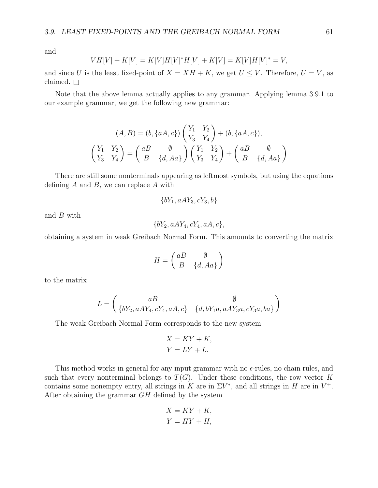and

$$
VH[V] + K[V] = K[V]H[V]^*H[V] + K[V] = K[V]H[V]^* = V,
$$

and since U is the least fixed-point of  $X = XH + K$ , we get  $U \leq V$ . Therefore,  $U = V$ , as claimed.  $\square$ 

Note that the above lemma actually applies to any grammar. Applying lemma 3.9.1 to our example grammar, we get the following new grammar:

$$
(A, B) = (b, \{aA, c\}) \begin{pmatrix} Y_1 & Y_2 \ Y_3 & Y_4 \end{pmatrix} + (b, \{aA, c\}),
$$

$$
\begin{pmatrix} Y_1 & Y_2 \ Y_3 & Y_4 \end{pmatrix} = \begin{pmatrix} aB & \emptyset \\ B & \{d, Aa\} \end{pmatrix} \begin{pmatrix} Y_1 & Y_2 \\ Y_3 & Y_4 \end{pmatrix} + \begin{pmatrix} aB & \emptyset \\ B & \{d, Aa\} \end{pmatrix}
$$

There are still some nonterminals appearing as leftmost symbols, but using the equations defining  $A$  and  $B$ , we can replace  $A$  with

$$
\{bY_1, aAY_3, cY_3, b\}
$$

and B with

$$
\{bY_2, aAY_4, cY_4, aA, c\},\
$$

obtaining a system in weak Greibach Normal Form. This amounts to converting the matrix

$$
H = \begin{pmatrix} aB & \emptyset \\ B & \{d, Aa\} \end{pmatrix}
$$

to the matrix

$$
L=\left(\begin{matrix}aB&\varnothing\\ \{bY_2,aAY_4,cY_4,aA,c\}&\{d,bY_1a,aAY_3a,cY_3a,ba\}\end{matrix}\right)
$$

The weak Greibach Normal Form corresponds to the new system

$$
X = KY + K,
$$
  

$$
Y = LY + L.
$$

This method works in general for any input grammar with no  $\epsilon$ -rules, no chain rules, and such that every nonterminal belongs to  $T(G)$ . Under these conditions, the row vector K contains some nonempty entry, all strings in K are in  $\Sigma V^*$ , and all strings in H are in  $V^+$ . After obtaining the grammar GH defined by the system

$$
X = KY + K,
$$
  

$$
Y = HY + H,
$$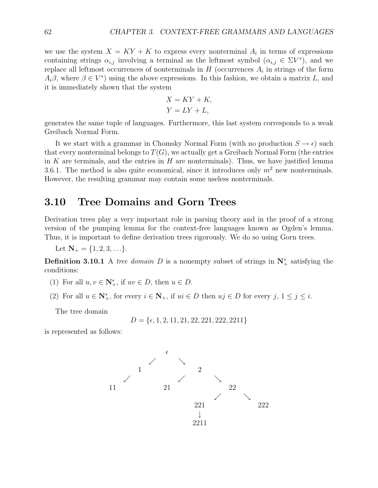we use the system  $X = KY + K$  to express every nonterminal  $A_i$  in terms of expressions containing strings  $\alpha_{i,j}$  involving a terminal as the leftmost symbol  $(\alpha_{i,j} \in \Sigma V^*)$ , and we replace all leftmost occurrences of nonterminals in  $H$  (occurrences  $A_i$  in strings of the form  $A_i\beta$ , where  $\beta \in V^*$ ) using the above expressions. In this fashion, we obtain a matrix L, and it is immediately shown that the system

$$
X = KY + K,
$$
  

$$
Y = LY + L,
$$

generates the same tuple of languages. Furthermore, this last system corresponds to a weak Greibach Normal Form.

It we start with a grammar in Chomsky Normal Form (with no production  $S \to \epsilon$ ) such that every nonterminal belongs to  $T(G)$ , we actually get a Greibach Normal Form (the entries in K are terminals, and the entries in  $H$  are nonterminals). Thus, we have justified lemma 3.6.1. The method is also quite economical, since it introduces only  $m^2$  new nonterminals. However, the resulting grammar may contain some useless nonterminals.

#### **3.10 Tree Domains and Gorn Trees**

Derivation trees play a very important role in parsing theory and in the proof of a strong version of the pumping lemma for the context-free languages known as Ogden's lemma. Thus, it is important to define derivation trees rigorously. We do so using Gorn trees.

Let  $N_+ = \{1, 2, 3, \ldots\}.$ 

**Definition 3.10.1** A tree domain D is a nonempty subset of strings in  $N^*$  satisfying the conditions:

- (1) For all  $u, v \in \mathbb{N}_+^*$ , if  $uv \in D$ , then  $u \in D$ .
- (2) For all  $u \in \mathbb{N}_+^*$ , for every  $i \in \mathbb{N}_+$ , if  $ui \in D$  then  $uj \in D$  for every  $j, 1 \le j \le i$ .

The tree domain

$$
D = \{ \epsilon, 1, 2, 11, 21, 22, 221, 222, 2211 \}
$$

is represented as follows:

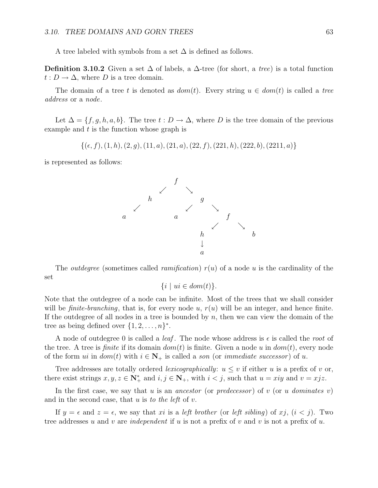A tree labeled with symbols from a set  $\Delta$  is defined as follows.

**Definition 3.10.2** Given a set  $\Delta$  of labels, a  $\Delta$ -tree (for short, a tree) is a total function  $t: D \to \Delta$ , where D is a tree domain.

The domain of a tree t is denoted as  $dom(t)$ . Every string  $u \in dom(t)$  is called a tree address or a node.

Let  $\Delta = \{f, g, h, a, b\}$ . The tree  $t : D \to \Delta$ , where D is the tree domain of the previous example and  $t$  is the function whose graph is

 $\{(\epsilon, f), (1, h), (2, g), (11, a), (21, a), (22, f), (221, h), (222, b), (2211, a)\}$ 

is represented as follows:



The *outdegree* (sometimes called *ramification*)  $r(u)$  of a node u is the cardinality of the set

$$
\{i \mid ui \in dom(t)\}.
$$

Note that the outdegree of a node can be infinite. Most of the trees that we shall consider will be *finite-branching*, that is, for every node u,  $r(u)$  will be an integer, and hence finite. If the outdegree of all nodes in a tree is bounded by  $n$ , then we can view the domain of the tree as being defined over  $\{1, 2, \ldots, n\}^*$ .

A node of outdegree 0 is called a *leaf*. The node whose address is  $\epsilon$  is called the *root* of the tree. A tree is *finite* if its domain  $dom(t)$  is finite. Given a node u in  $dom(t)$ , every node of the form *ui* in  $dom(t)$  with  $i \in \mathbb{N}_+$  is called a son (or *immediate successor*) of *u*.

Tree addresses are totally ordered *lexicographically*:  $u \leq v$  if either u is a prefix of v or, there exist strings  $x, y, z \in \mathbb{N}_+^*$  and  $i, j \in \mathbb{N}_+$ , with  $i < j$ , such that  $u = xiy$  and  $v = xjz$ .

In the first case, we say that u is an ancestor (or predecessor) of v (or u dominates v) and in the second case, that  $u$  is to the left of  $v$ .

If  $y = \epsilon$  and  $z = \epsilon$ , we say that xi is a *left brother* (or *left sibling*) of xj,  $(i < j)$ . Two tree addresses u and v are independent if u is not a prefix of v and v is not a prefix of u.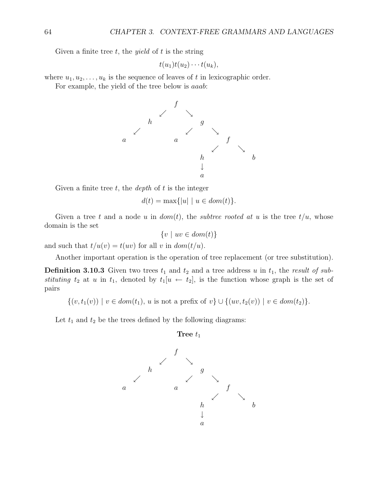Given a finite tree  $t$ , the *yield* of  $t$  is the string

$$
t(u_1)t(u_2)\cdots t(u_k),
$$

where  $u_1, u_2, \ldots, u_k$  is the sequence of leaves of t in lexicographic order.

For example, the yield of the tree below is aaab:



Given a finite tree  $t$ , the *depth* of  $t$  is the integer

$$
d(t) = \max\{|u| \mid u \in dom(t)\}.
$$

Given a tree t and a node u in  $dom(t)$ , the subtree rooted at u is the tree  $t/u$ , whose domain is the set

$$
\{v \mid uv \in dom(t)\}
$$

and such that  $t/u(v) = t(uv)$  for all v in  $dom(t/u)$ .

Another important operation is the operation of tree replacement (or tree substitution).

**Definition 3.10.3** Given two trees  $t_1$  and  $t_2$  and a tree address u in  $t_1$ , the result of substituting  $t_2$  at u in  $t_1$ , denoted by  $t_1[u \leftarrow t_2]$ , is the function whose graph is the set of pairs

 $\{(v, t_1(v)) \mid v \in dom(t_1), u \text{ is not a prefix of } v\} \cup \{(uv, t_2(v)) \mid v \in dom(t_2)\}.$ 

Let  $t_1$  and  $t_2$  be the trees defined by the following diagrams:

$$
Tree t1
$$

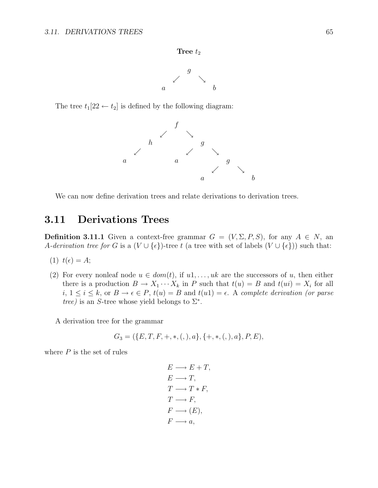#### **Tree**  $t_2$



The tree  $t_1[22 \leftarrow t_2]$  is defined by the following diagram:



We can now define derivation trees and relate derivations to derivation trees.

#### **3.11 Derivations Trees**

**Definition 3.11.1** Given a context-free grammar  $G = (V, \Sigma, P, S)$ , for any  $A \in N$ , an A-derivation tree for G is a  $(V \cup \{\epsilon\})$ -tree t (a tree with set of labels  $(V \cup \{\epsilon\})$ ) such that:

$$
(1) \t t(\epsilon) = A;
$$

(2) For every nonleaf node  $u \in dom(t)$ , if  $u_1, \ldots, uk$  are the successors of u, then either there is a production  $B \to X_1 \cdots X_k$  in P such that  $t(u) = B$  and  $t(ui) = X_i$  for all  $i, 1 \leq i \leq k$ , or  $B \to \epsilon \in P$ ,  $t(u) = B$  and  $t(u1) = \epsilon$ . A complete derivation (or parse tree) is an S-tree whose yield belongs to  $\Sigma^*$ .

A derivation tree for the grammar

$$
G_3 = (\{E, T, F, +, *, (,), a\}, \{+, *, (,), a\}, P, E),
$$

where  $P$  is the set of rules

$$
E \longrightarrow E + T,
$$
  
\n
$$
E \longrightarrow T,
$$
  
\n
$$
T \longrightarrow T * F,
$$
  
\n
$$
T \longrightarrow F,
$$
  
\n
$$
F \longrightarrow (E),
$$
  
\n
$$
F \longrightarrow a,
$$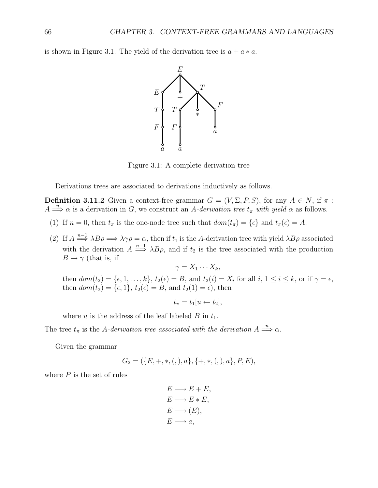is shown in Figure 3.1. The yield of the derivation tree is  $a + a * a$ .



Figure 3.1: A complete derivation tree

Derivations trees are associated to derivations inductively as follows.

**Definition 3.11.2** Given a context-free grammar  $G = (V, \Sigma, P, S)$ , for any  $A \in N$ , if  $\pi$ :  $A \Longrightarrow^{\mathbb{R}} \alpha$  is a derivation in G, we construct an A-derivation tree  $t_{\pi}$  with yield  $\alpha$  as follows.

- (1) If  $n = 0$ , then  $t_{\pi}$  is the one-node tree such that  $dom(t_{\pi}) = {\epsilon}$  and  $t_{\pi}(\epsilon) = A$ .
- (2) If  $A \stackrel{n-1}{\Longrightarrow} \lambda B \rho \Longrightarrow \lambda \gamma \rho = \alpha$ , then if  $t_1$  is the A-derivation tree with yield  $\lambda B \rho$  associated with the derivation  $A \stackrel{n-1}{\Longrightarrow} \lambda B\rho$ , and if  $t_2$  is the tree associated with the production  $B \to \gamma$  (that is, if

$$
\gamma = X_1 \cdots X_k,
$$

then  $dom(t_2) = \{\epsilon, 1, \ldots, k\}, t_2(\epsilon) = B$ , and  $t_2(i) = X_i$  for all  $i, 1 \le i \le k$ , or if  $\gamma = \epsilon$ , then  $dom(t_2) = \{\epsilon, 1\}, t_2(\epsilon) = B$ , and  $t_2(1) = \epsilon$ , then

$$
t_{\pi}=t_1[u\leftarrow t_2],
$$

where u is the address of the leaf labeled B in  $t_1$ .

The tree  $t_{\pi}$  is the A-derivation tree associated with the derivation  $A \stackrel{n}{\Longrightarrow} \alpha$ .

Given the grammar

$$
G_2 = (\{E, +, *, (,), a\}, \{+, *, (,), a\}, P, E),
$$

where  $P$  is the set of rules

$$
E \longrightarrow E + E,
$$
  
\n
$$
E \longrightarrow E * E,
$$
  
\n
$$
E \longrightarrow (E),
$$
  
\n
$$
E \longrightarrow a,
$$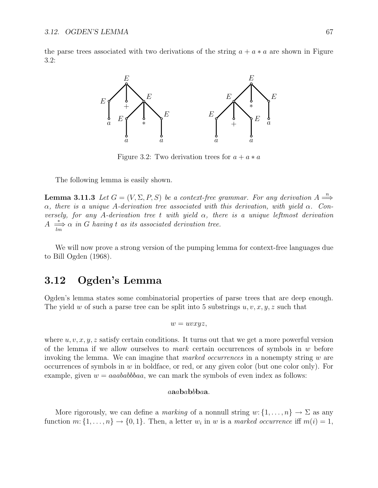the parse trees associated with two derivations of the string  $a + a * a$  are shown in Figure 3.2:



Figure 3.2: Two derivation trees for  $a + a * a$ 

The following lemma is easily shown.

**Lemma 3.11.3** Let  $G = (V, \Sigma, P, S)$  be a context-free grammar. For any derivation  $A \stackrel{n}{\Longrightarrow}$  $\alpha$ , there is a unique A-derivation tree associated with this derivation, with yield  $\alpha$ . Conversely, for any A-derivation tree t with yield  $\alpha$ , there is a unique leftmost derivation  $A \stackrel{*}{\longrightarrow} \alpha$  in G having t as its associated derivation tree.

We will now prove a strong version of the pumping lemma for context-free languages due to Bill Ogden (1968).

### **3.12 Ogden's Lemma**

Ogden's lemma states some combinatorial properties of parse trees that are deep enough. The yield w of such a parse tree can be split into 5 substrings  $u, v, x, y, z$  such that

$$
w = uvxyz,
$$

where  $u, v, x, y, z$  satisfy certain conditions. It turns out that we get a more powerful version of the lemma if we allow ourselves to *mark* certain occurrences of symbols in  $w$  before invoking the lemma. We can imagine that *marked occurrences* in a nonempty string  $w$  are occurrences of symbols in  $w$  in boldface, or red, or any given color (but one color only). For example, given  $w = aaababbbaa$ , we can mark the symbols of even index as follows:

#### a**a**a**b**a**b**b**b**a**a**.

More rigorously, we can define a *marking* of a nonnull string  $w: \{1, \ldots, n\} \to \Sigma$  as any function  $m: \{1, \ldots, n\} \to \{0, 1\}$ . Then, a letter  $w_i$  in w is a marked occurrence iff  $m(i) = 1$ ,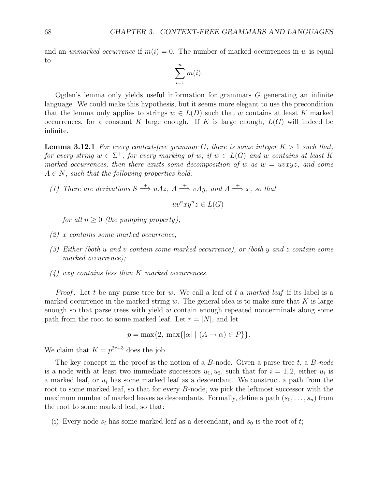and an *unmarked occurrence* if  $m(i) = 0$ . The number of marked occurrences in w is equal to

$$
\sum_{i=1}^{n} m(i).
$$

Ogden's lemma only yields useful information for grammars  $G$  generating an infinite language. We could make this hypothesis, but it seems more elegant to use the precondition that the lemma only applies to strings  $w \in L(D)$  such that w contains at least K marked occurrences, for a constant K large enough. If K is large enough,  $L(G)$  will indeed be infinite.

**Lemma 3.12.1** For every context-free grammar G, there is some integer  $K > 1$  such that, for every string  $w \in \Sigma^+$ , for every marking of w, if  $w \in L(G)$  and w contains at least K marked occurrences, then there exists some decomposition of w as  $w = uvxyz$ , and some  $A \in N$ , such that the following properties hold:

(1) There are derivations  $S \stackrel{+}{\Longrightarrow} uAz$ ,  $A \stackrel{+}{\Longrightarrow} vAy$ , and  $A \stackrel{+}{\Longrightarrow} x$ , so that

$$
uv^n xy^n z \in L(G)
$$

for all  $n \geq 0$  (the pumping property);

- (2) x contains some marked occurrence;
- (3) Either (both u and v contain some marked occurrence), or (both y and z contain some marked occurrence);
- $(4)$  vxy contains less than K marked occurrences.

*Proof.* Let t be any parse tree for w. We call a leaf of t a marked leaf if its label is a marked occurrence in the marked string w. The general idea is to make sure that  $K$  is large enough so that parse trees with yield  $w$  contain enough repeated nonterminals along some path from the root to some marked leaf. Let  $r = |N|$ , and let

$$
p = \max\{2, \max\{|\alpha| \mid (A \rightarrow \alpha) \in P\}\}.
$$

We claim that  $K = p^{2r+3}$  does the job.

The key concept in the proof is the notion of a  $B$ -node. Given a parse tree  $t$ , a  $B$ -node is a node with at least two immediate successors  $u_1, u_2$ , such that for  $i = 1, 2$ , either  $u_i$  is a marked leaf, or  $u_i$  has some marked leaf as a descendant. We construct a path from the root to some marked leaf, so that for every B-node, we pick the leftmost successor with the maximum number of marked leaves as descendants. Formally, define a path  $(s_0,\ldots,s_n)$  from the root to some marked leaf, so that:

(i) Every node  $s_i$  has some marked leaf as a descendant, and  $s_0$  is the root of t;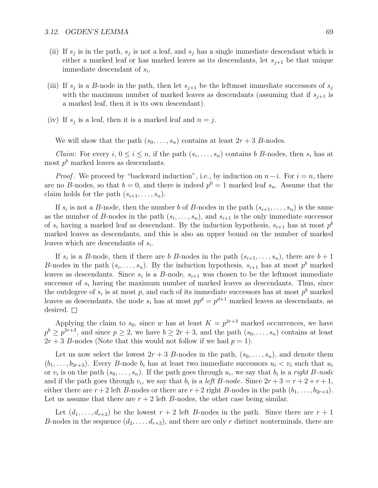- (ii) If  $s_j$  is in the path,  $s_j$  is not a leaf, and  $s_j$  has a single immediate descendant which is either a marked leaf or has marked leaves as its descendants, let  $s_{i+1}$  be that unique immediate descendant of  $s_i$ .
- (iii) If  $s_j$  is a B-node in the path, then let  $s_{j+1}$  be the leftmost immediate successors of  $s_j$ with the maximum number of marked leaves as descendants (assuming that if  $s_{i+1}$  is a marked leaf, then it is its own descendant).
- (iv) If  $s_j$  is a leaf, then it is a marked leaf and  $n = j$ .

We will show that the path  $(s_0,\ldots,s_n)$  contains at least  $2r+3$  B-nodes.

*Claim:* For every i,  $0 \le i \le n$ , if the path  $(s_i, \ldots, s_n)$  contains b B-nodes, then  $s_i$  has at most  $p<sup>b</sup>$  marked leaves as descendants.

*Proof.* We proceed by "backward induction", i.e., by induction on  $n-i$ . For  $i = n$ , there are no B-nodes, so that  $b = 0$ , and there is indeed  $p^0 = 1$  marked leaf  $s_n$ . Assume that the claim holds for the path  $(s_{i+1},\ldots,s_n)$ .

If  $s_i$  is not a B-node, then the number b of B-nodes in the path  $(s_{i+1},...,s_n)$  is the same as the number of B-nodes in the path  $(s_i, \ldots, s_n)$ , and  $s_{i+1}$  is the only immediate successor of  $s_i$  having a marked leaf as descendant. By the induction hypothesis,  $s_{i+1}$  has at most  $p^b$ marked leaves as descendants, and this is also an upper bound on the number of marked leaves which are descendants of  $s_i$ .

If  $s_i$  is a B-node, then if there are b B-nodes in the path  $(s_{i+1},...,s_n)$ , there are  $b+1$ B-nodes in the path  $(s_i, \ldots, s_n)$ . By the induction hypothesis,  $s_{i+1}$  has at most  $p^b$  marked leaves as descendants. Since  $s_i$  is a B-node,  $s_{i+1}$  was chosen to be the leftmost immediate successor of  $s_i$  having the maximum number of marked leaves as descendants. Thus, since the outdegree of  $s_i$  is at most p, and each of its immediate successors has at most  $p<sup>b</sup>$  marked leaves as descendants, the node  $s_i$  has at most  $pp^d = p^{d+1}$  marked leaves as descendants, as desired.  $\square$ 

Applying the claim to  $s_0$ , since w has at least  $K = p^{2r+3}$  marked occurrences, we have  $p^{b} \geq p^{2r+3}$ , and since  $p \geq 2$ , we have  $b \geq 2r+3$ , and the path  $(s_0, \ldots, s_n)$  contains at least  $2r + 3$  B-nodes (Note that this would not follow if we had  $p = 1$ ).

Let us now select the lowest  $2r + 3$  B-nodes in the path,  $(s_0, \ldots, s_n)$ , and denote them  $(b_1,\ldots,b_{2r+3})$ . Every B-node  $b_i$  has at least two immediate successors  $u_i < v_i$  such that  $u_i$ or  $v_i$  is on the path  $(s_0,\ldots,s_n)$ . If the path goes through  $u_i$ , we say that  $b_i$  is a *right B-node* and if the path goes through  $v_i$ , we say that  $b_i$  is a *left B-node*. Since  $2r + 3 = r + 2 + r + 1$ , either there are  $r+2$  left B-nodes or there are  $r+2$  right B-nodes in the path  $(b_1,\ldots,b_{2r+3})$ . Let us assume that there are  $r + 2$  left B-nodes, the other case being similar.

Let  $(d_1,\ldots,d_{r+2})$  be the lowest  $r+2$  left B-nodes in the path. Since there are  $r+1$ B-nodes in the sequence  $(d_2,\ldots,d_{r+2})$ , and there are only r distinct nonterminals, there are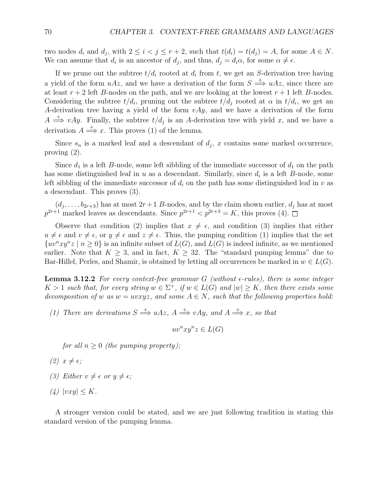two nodes  $d_i$  and  $d_j$ , with  $2 \leq i < j \leq r + 2$ , such that  $t(d_i) = t(d_j) = A$ , for some  $A \in N$ . We can assume that  $d_i$  is an ancestor of  $d_j$ , and thus,  $d_j = d_i \alpha$ , for some  $\alpha \neq \epsilon$ .

If we prune out the subtree  $t/d_i$  rooted at  $d_i$  from t, we get an S-derivation tree having a yield of the form  $uAz$ , and we have a derivation of the form  $S \stackrel{+}{\Longrightarrow} uAz$ , since there are at least  $r + 2$  left B-nodes on the path, and we are looking at the lowest  $r + 1$  left B-nodes. Considering the subtree  $t/d_i$ , pruning out the subtree  $t/d_i$  rooted at  $\alpha$  in  $t/d_i$ , we get an A-derivation tree having a yield of the form  $vAy$ , and we have a derivation of the form  $A \stackrel{+}{\Longrightarrow} vAy$ . Finally, the subtree  $t/d_i$  is an A-derivation tree with yield x, and we have a derivation  $A \stackrel{+}{\Longrightarrow} x$ . This proves (1) of the lemma.

Since  $s_n$  is a marked leaf and a descendant of  $d_j$ , x contains some marked occurrence, proving (2).

Since  $d_1$  is a left B-node, some left sibbling of the immediate successor of  $d_1$  on the path has some distinguished leaf in u as a descendant. Similarly, since  $d_i$  is a left B-node, some left sibbling of the immediate successor of  $d_i$  on the path has some distinguished leaf in v as a descendant. This proves (3).

 $(d_j, \ldots, b_{2r+3})$  has at most  $2r+1$  B-nodes, and by the claim shown earlier,  $d_j$  has at most  $p^{2r+1}$  marked leaves as descendants. Since  $p^{2r+1} < p^{2r+3} = K$ , this proves (4).

Observe that condition (2) implies that  $x \neq \epsilon$ , and condition (3) implies that either  $u \neq \epsilon$  and  $v \neq \epsilon$ , or  $y \neq \epsilon$  and  $z \neq \epsilon$ . Thus, the pumping condition (1) implies that the set  $\{uv^nxy^nz \mid n \geq 0\}$  is an infinite subset of  $L(G)$ , and  $L(G)$  is indeed infinite, as we mentioned earlier. Note that  $K \geq 3$ , and in fact,  $K \geq 32$ . The "standard pumping lemma" due to Bar-Hillel, Perles, and Shamir, is obtained by letting all occurrences be marked in  $w \in L(G)$ .

**Lemma 3.12.2** For every context-free grammar  $G$  (without  $\epsilon$ -rules), there is some integer  $K > 1$  such that, for every string  $w \in \Sigma^+$ , if  $w \in L(G)$  and  $|w| \geq K$ , then there exists some decomposition of w as  $w = uvxyz$ , and some  $A \in N$ , such that the following properties hold:

(1) There are derivations  $S \stackrel{+}{\Longrightarrow} uAz$ ,  $A \stackrel{+}{\Longrightarrow} vAy$ , and  $A \stackrel{+}{\Longrightarrow} x$ , so that

 $uv^nxu^nz \in L(G)$ 

for all  $n \geq 0$  (the pumping property);

- (2)  $x \neq \epsilon$ ;
- (3) Either  $v \neq \epsilon$  or  $y \neq \epsilon$ ;
- (4)  $|vxy| \leq K$ .

A stronger version could be stated, and we are just following tradition in stating this standard version of the pumping lemma.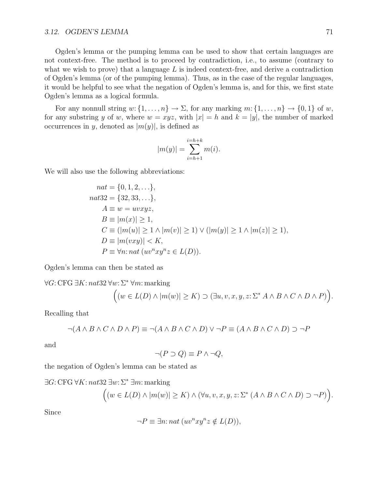#### *3.12.* OGDEN'S LEMMA 71

Ogden's lemma or the pumping lemma can be used to show that certain languages are not context-free. The method is to proceed by contradiction, i.e., to assume (contrary to what we wish to prove) that a language  $L$  is indeed context-free, and derive a contradiction of Ogden's lemma (or of the pumping lemma). Thus, as in the case of the regular languages, it would be helpful to see what the negation of Ogden's lemma is, and for this, we first state Ogden's lemma as a logical formula.

For any nonnull string  $w: \{1, \ldots, n\} \to \Sigma$ , for any marking  $m: \{1, \ldots, n\} \to \{0, 1\}$  of w, for any substring y of w, where  $w = xyz$ , with  $|x| = h$  and  $k = |y|$ , the number of marked occurrences in y, denoted as  $|m(y)|$ , is defined as

$$
|m(y)| = \sum_{i=h+1}^{i=h+k} m(i).
$$

We will also use the following abbreviations:

$$
nat = \{0, 1, 2, \ldots\},
$$
  
\n
$$
nat32 = \{32, 33, \ldots\},
$$
  
\n
$$
A \equiv w = uvxyz,
$$
  
\n
$$
B \equiv |m(x)| \ge 1,
$$
  
\n
$$
C \equiv (|m(u)| \ge 1 \land |m(v)| \ge 1) \lor (|m(y)| \ge 1 \land |m(z)| \ge 1),
$$
  
\n
$$
D \equiv |m(vxy)| < K,
$$
  
\n
$$
P \equiv \forall n: nat \ (uvnxynz \in L(D)).
$$

Ogden's lemma can then be stated as

$$
\forall G: \text{CFG } \exists K: nat32 \,\forall w: \Sigma^* \,\forall m: \text{marking}
$$

$$
\Big( (w \in L(D) \land |m(w)| \ge K) \supset (\exists u, v, x, y, z: \Sigma^* A \land B \land C \land D \land P) \Big).
$$

Recalling that

$$
\neg (A \land B \land C \land D \land P) \equiv \neg (A \land B \land C \land D) \lor \neg P \equiv (A \land B \land C \land D) \supset \neg P
$$

and

$$
\neg (P \supset Q) \equiv P \land \neg Q,
$$

the negation of Ogden's lemma can be stated as

 $\exists G: \text{CFG }\forall K: n \text{ at } 32 \exists w: \Sigma^* \exists m:$  marking

$$
((w \in L(D) \land |m(w)| \ge K) \land (\forall u, v, x, y, z: \Sigma^* (A \land B \land C \land D) \supset \neg P)).
$$

Since

$$
\neg P \equiv \exists n: nat \ (uv^n xy^n z \notin L(D)),
$$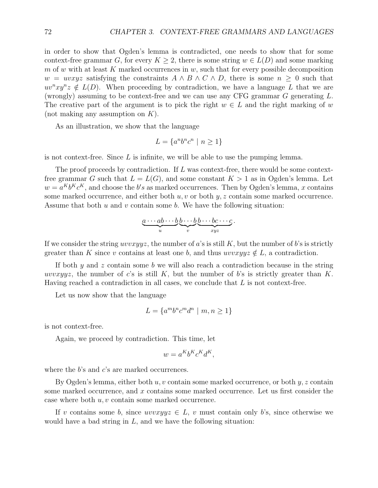in order to show that Ogden's lemma is contradicted, one needs to show that for some context-free grammar G, for every  $K \geq 2$ , there is some string  $w \in L(D)$  and some marking m of w with at least K marked occurrences in  $w$ , such that for every possible decomposition  $w = uvxyz$  satisfying the constraints  $A \wedge B \wedge C \wedge D$ , there is some  $n \geq 0$  such that  $uv<sup>n</sup>xy<sup>n</sup>z \notin L(D)$ . When proceeding by contradiction, we have a language L that we are (wrongly) assuming to be context-free and we can use any CFG grammar G generating L. The creative part of the argument is to pick the right  $w \in L$  and the right marking of w (not making any assumption on  $K$ ).

As an illustration, we show that the language

$$
L = \{a^n b^n c^n \mid n \ge 1\}
$$

is not context-free. Since  $L$  is infinite, we will be able to use the pumping lemma.

The proof proceeds by contradiction. If  $L$  was context-free, there would be some contextfree grammar G such that  $L = L(G)$ , and some constant  $K > 1$  as in Ogden's lemma. Let  $w = a^K b^K c^K$ , and choose the b's as marked occurrences. Then by Ogden's lemma, x contains some marked occurrence, and either both  $u, v$  or both  $y, z$  contain some marked occurrence. Assume that both  $u$  and  $v$  contain some  $b$ . We have the following situation:

$$
\underbrace{a\cdots ab\cdots b}_{u}\underbrace{b\cdots b}_{v}\underbrace{b\cdots bc\cdots c}_{xyz}.
$$

If we consider the string  $uvvxyyz$ , the number of a's is still K, but the number of b's is strictly greater than K since v contains at least one b, and thus  $uvvxyyz \notin L$ , a contradiction.

If both  $y$  and  $z$  contain some  $b$  we will also reach a contradiction because in the string uvvxyyz, the number of c's is still K, but the number of b's is strictly greater than K. Having reached a contradiction in all cases, we conclude that  $L$  is not context-free.

Let us now show that the language

$$
L = \{a^m b^n c^m d^n \mid m, n \ge 1\}
$$

is not context-free.

Again, we proceed by contradiction. This time, let

$$
w = a^K b^K c^K d^K,
$$

where the b's and c's are marked occurrences.

By Ogden's lemma, either both  $u, v$  contain some marked occurrence, or both  $y, z$  contain some marked occurrence, and x contains some marked occurrence. Let us first consider the case where both  $u, v$  contain some marked occurrence.

If v contains some b, since  $uvwxyyz \in L$ , v must contain only b's, since otherwise we would have a bad string in  $L$ , and we have the following situation: